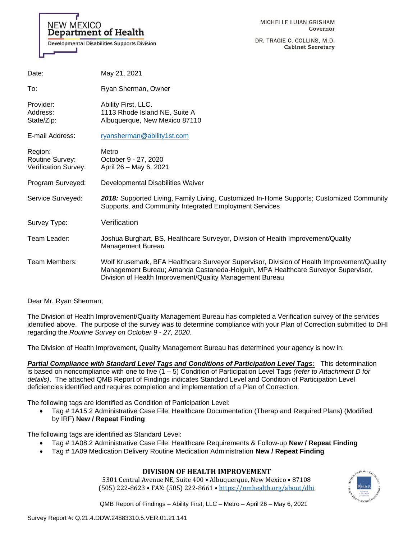

DR. TRACIE C. COLLINS, M.D. **Cabinet Secretary** 

| Date:                                              | May 21, 2021                                                                                                                                                                                                                               |
|----------------------------------------------------|--------------------------------------------------------------------------------------------------------------------------------------------------------------------------------------------------------------------------------------------|
| To:                                                | Ryan Sherman, Owner                                                                                                                                                                                                                        |
| Provider:<br>Address:<br>State/Zip:                | Ability First, LLC.<br>1113 Rhode Island NE, Suite A<br>Albuquerque, New Mexico 87110                                                                                                                                                      |
| E-mail Address:                                    | ryansherman@ability1st.com                                                                                                                                                                                                                 |
| Region:<br>Routine Survey:<br>Verification Survey: | Metro<br>October 9 - 27, 2020<br>April 26 - May 6, 2021                                                                                                                                                                                    |
| Program Surveyed:                                  | Developmental Disabilities Waiver                                                                                                                                                                                                          |
| Service Surveyed:                                  | 2018: Supported Living, Family Living, Customized In-Home Supports; Customized Community<br>Supports, and Community Integrated Employment Services                                                                                         |
| Survey Type:                                       | Verification                                                                                                                                                                                                                               |
| Team Leader:                                       | Joshua Burghart, BS, Healthcare Surveyor, Division of Health Improvement/Quality<br>Management Bureau                                                                                                                                      |
| Team Members:                                      | Wolf Krusemark, BFA Healthcare Surveyor Supervisor, Division of Health Improvement/Quality<br>Management Bureau; Amanda Castaneda-Holguin, MPA Healthcare Surveyor Supervisor,<br>Division of Health Improvement/Quality Management Bureau |

## Dear Mr. Ryan Sherman;

The Division of Health Improvement/Quality Management Bureau has completed a Verification survey of the services identified above. The purpose of the survey was to determine compliance with your Plan of Correction submitted to DHI regarding the *Routine Survey on October 9 - 27, 2020*.

The Division of Health Improvement, Quality Management Bureau has determined your agency is now in:

*Partial Compliance with Standard Level Tags and Conditions of Participation Level Tags:* This determination is based on noncompliance with one to five (1 – 5) Condition of Participation Level Tags *(refer to Attachment D for details)*. The attached QMB Report of Findings indicates Standard Level and Condition of Participation Level deficiencies identified and requires completion and implementation of a Plan of Correction.

The following tags are identified as Condition of Participation Level:

• Tag # 1A15.2 Administrative Case File: Healthcare Documentation (Therap and Required Plans) (Modified by IRF) **New / Repeat Finding**

The following tags are identified as Standard Level:

- Tag # 1A08.2 Administrative Case File: Healthcare Requirements & Follow-up **New / Repeat Finding**
- Tag # 1A09 Medication Delivery Routine Medication Administration **New / Repeat Finding**

# **DIVISION OF HEALTH IMPROVEMENT**

5301 Central Avenue NE, Suite 400 • Albuquerque, New Mexico • 87108 (505) 222-8623 • FAX: (505) 222-8661 • <https://nmhealth.org/about/dhi>

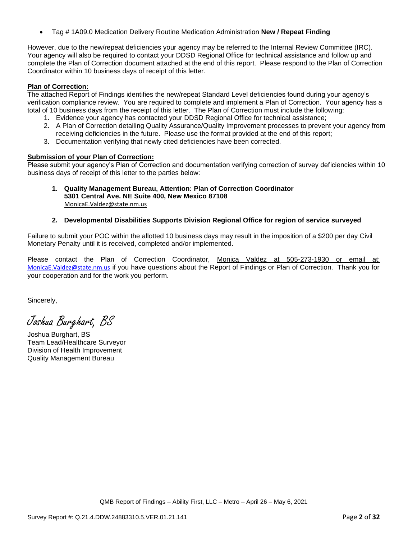• Tag # 1A09.0 Medication Delivery Routine Medication Administration **New / Repeat Finding**

However, due to the new/repeat deficiencies your agency may be referred to the Internal Review Committee (IRC). Your agency will also be required to contact your DDSD Regional Office for technical assistance and follow up and complete the Plan of Correction document attached at the end of this report. Please respond to the Plan of Correction Coordinator within 10 business days of receipt of this letter.

## **Plan of Correction:**

The attached Report of Findings identifies the new/repeat Standard Level deficiencies found during your agency's verification compliance review. You are required to complete and implement a Plan of Correction. Your agency has a total of 10 business days from the receipt of this letter. The Plan of Correction must include the following:

- 1. Evidence your agency has contacted your DDSD Regional Office for technical assistance;
- 2. A Plan of Correction detailing Quality Assurance/Quality Improvement processes to prevent your agency from receiving deficiencies in the future. Please use the format provided at the end of this report;
- 3. Documentation verifying that newly cited deficiencies have been corrected.

## **Submission of your Plan of Correction:**

Please submit your agency's Plan of Correction and documentation verifying correction of survey deficiencies within 10 business days of receipt of this letter to the parties below:

- **1. Quality Management Bureau, Attention: Plan of Correction Coordinator 5301 Central Ave. NE Suite 400, New Mexico 87108** [MonicaE.Valdez@state.nm.us](mailto:MonicaE.Valdez@state.nm.us)
- **2. Developmental Disabilities Supports Division Regional Office for region of service surveyed**

Failure to submit your POC within the allotted 10 business days may result in the imposition of a \$200 per day Civil Monetary Penalty until it is received, completed and/or implemented.

Please contact the Plan of Correction Coordinator, Monica Valdez at 505-273-1930 or email at: [MonicaE.Valdez@state.nm.us](mailto:MonicaE.Valdez@state.nm.us) if you have questions about the Report of Findings or Plan of Correction. Thank you for your cooperation and for the work you perform.

Sincerely,

Joshua Burghart, BS

Joshua Burghart, BS Team Lead/Healthcare Surveyor Division of Health Improvement Quality Management Bureau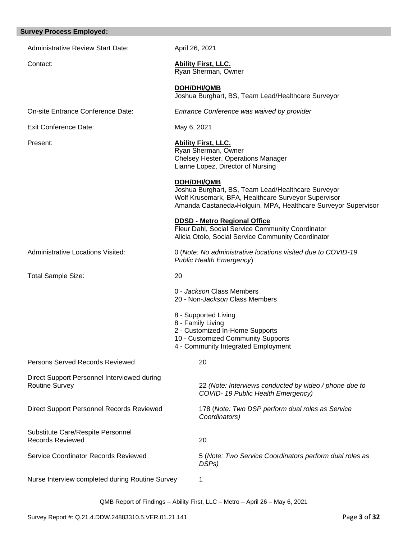# Administrative Review Start Date: April 26, 2021 Contact: **Ability First, LLC.**  Ryan Sherman, Owner **DOH/DHI/QMB** Joshua Burghart, BS, Team Lead/Healthcare Surveyor On-site Entrance Conference Date: *Entrance Conference was waived by provider* Exit Conference Date: May 6, 2021 Present: **Ability First, LLC.** Ryan Sherman, Owner Chelsey Hester, Operations Manager Lianne Lopez, Director of Nursing **DOH/DHI/QMB** Joshua Burghart, BS, Team Lead/Healthcare Surveyor Wolf Krusemark, BFA, Healthcare Surveyor Supervisor Amanda Castaneda-Holguin, MPA, Healthcare Surveyor Supervisor **DDSD - Metro Regional Office**  Fleur Dahl, Social Service Community Coordinator Alicia Otolo, Social Service Community Coordinator Administrative Locations Visited: 0 (*Note: No administrative locations visited due to COVID-19 Public Health Emergency*) Total Sample Size: 20 0 - *Jackson* Class Members 20 - Non-*Jackson* Class Members 8 - Supported Living 8 - Family Living 2 - Customized In-Home Supports 10 - Customized Community Supports 4 - Community Integrated Employment Persons Served Records Reviewed 20 Direct Support Personnel Interviewed during Routine Survey 22 *(Note: Interviews conducted by video / phone due to COVID- 19 Public Health Emergency)* Direct Support Personnel Records Reviewed 178 (*Note: Two DSP perform dual roles as Service Coordinators)*  Substitute Care/Respite Personnel Records Reviewed 20 Service Coordinator Records Reviewed 5 (*Note: Two Service Coordinators perform dual roles as DSPs)*

Nurse Interview completed during Routine Survey 1

**Survey Process Employed:**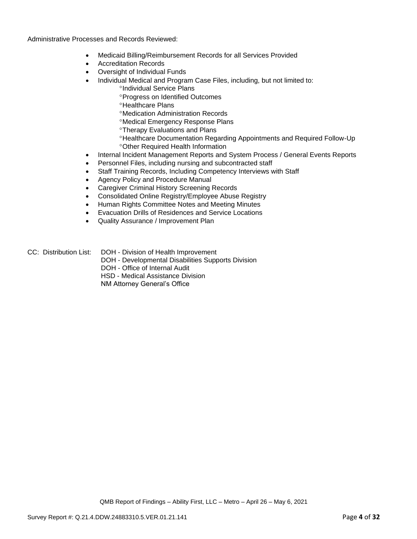Administrative Processes and Records Reviewed:

- Medicaid Billing/Reimbursement Records for all Services Provided
- Accreditation Records
- Oversight of Individual Funds
- Individual Medical and Program Case Files, including, but not limited to:
	- *<u>Clndividual Service Plans</u>*
	- Progress on Identified Outcomes
	- <sup>o</sup>Healthcare Plans
	- Medication Administration Records
	- Medical Emergency Response Plans
	- **Therapy Evaluations and Plans**
	- Healthcare Documentation Regarding Appointments and Required Follow-Up Other Required Health Information
- Internal Incident Management Reports and System Process / General Events Reports
- Personnel Files, including nursing and subcontracted staff
- Staff Training Records, Including Competency Interviews with Staff
- Agency Policy and Procedure Manual
- Caregiver Criminal History Screening Records
- Consolidated Online Registry/Employee Abuse Registry
- Human Rights Committee Notes and Meeting Minutes
- Evacuation Drills of Residences and Service Locations
- Quality Assurance / Improvement Plan
- CC: Distribution List: DOH Division of Health Improvement
	- DOH Developmental Disabilities Supports Division
	- DOH Office of Internal Audit
	- HSD Medical Assistance Division

NM Attorney General's Office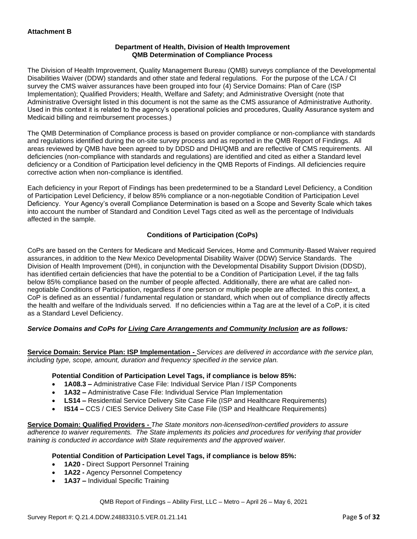## **Department of Health, Division of Health Improvement QMB Determination of Compliance Process**

The Division of Health Improvement, Quality Management Bureau (QMB) surveys compliance of the Developmental Disabilities Waiver (DDW) standards and other state and federal regulations. For the purpose of the LCA / CI survey the CMS waiver assurances have been grouped into four (4) Service Domains: Plan of Care (ISP Implementation); Qualified Providers; Health, Welfare and Safety; and Administrative Oversight (note that Administrative Oversight listed in this document is not the same as the CMS assurance of Administrative Authority. Used in this context it is related to the agency's operational policies and procedures, Quality Assurance system and Medicaid billing and reimbursement processes.)

The QMB Determination of Compliance process is based on provider compliance or non-compliance with standards and regulations identified during the on-site survey process and as reported in the QMB Report of Findings. All areas reviewed by QMB have been agreed to by DDSD and DHI/QMB and are reflective of CMS requirements. All deficiencies (non-compliance with standards and regulations) are identified and cited as either a Standard level deficiency or a Condition of Participation level deficiency in the QMB Reports of Findings. All deficiencies require corrective action when non-compliance is identified.

Each deficiency in your Report of Findings has been predetermined to be a Standard Level Deficiency, a Condition of Participation Level Deficiency, if below 85% compliance or a non-negotiable Condition of Participation Level Deficiency. Your Agency's overall Compliance Determination is based on a Scope and Severity Scale which takes into account the number of Standard and Condition Level Tags cited as well as the percentage of Individuals affected in the sample.

# **Conditions of Participation (CoPs)**

CoPs are based on the Centers for Medicare and Medicaid Services, Home and Community-Based Waiver required assurances, in addition to the New Mexico Developmental Disability Waiver (DDW) Service Standards. The Division of Health Improvement (DHI), in conjunction with the Developmental Disability Support Division (DDSD), has identified certain deficiencies that have the potential to be a Condition of Participation Level, if the tag falls below 85% compliance based on the number of people affected. Additionally, there are what are called nonnegotiable Conditions of Participation, regardless if one person or multiple people are affected. In this context, a CoP is defined as an essential / fundamental regulation or standard, which when out of compliance directly affects the health and welfare of the Individuals served. If no deficiencies within a Tag are at the level of a CoP, it is cited as a Standard Level Deficiency.

# *Service Domains and CoPs for Living Care Arrangements and Community Inclusion are as follows:*

**Service Domain: Service Plan: ISP Implementation -** *Services are delivered in accordance with the service plan, including type, scope, amount, duration and frequency specified in the service plan.*

## **Potential Condition of Participation Level Tags, if compliance is below 85%:**

- **1A08.3 –** Administrative Case File: Individual Service Plan / ISP Components
- **1A32 –** Administrative Case File: Individual Service Plan Implementation
- **LS14 –** Residential Service Delivery Site Case File (ISP and Healthcare Requirements)
- **IS14 –** CCS / CIES Service Delivery Site Case File (ISP and Healthcare Requirements)

**Service Domain: Qualified Providers -** *The State monitors non-licensed/non-certified providers to assure adherence to waiver requirements. The State implements its policies and procedures for verifying that provider training is conducted in accordance with State requirements and the approved waiver.*

## **Potential Condition of Participation Level Tags, if compliance is below 85%:**

- **1A20 -** Direct Support Personnel Training
- **1A22 -** Agency Personnel Competency
- **1A37 –** Individual Specific Training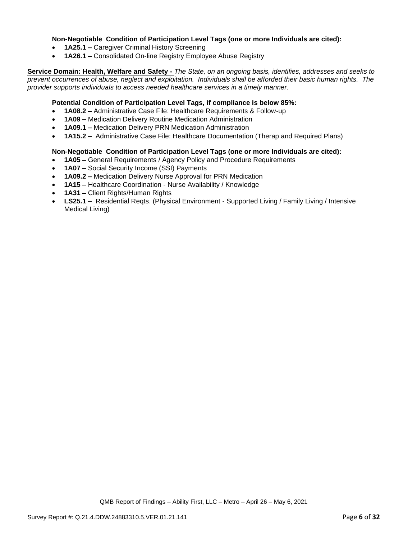## **Non-Negotiable Condition of Participation Level Tags (one or more Individuals are cited):**

- **1A25.1 –** Caregiver Criminal History Screening
- **1A26.1 –** Consolidated On-line Registry Employee Abuse Registry

**Service Domain: Health, Welfare and Safety -** *The State, on an ongoing basis, identifies, addresses and seeks to prevent occurrences of abuse, neglect and exploitation. Individuals shall be afforded their basic human rights. The provider supports individuals to access needed healthcare services in a timely manner.*

## **Potential Condition of Participation Level Tags, if compliance is below 85%:**

- **1A08.2 –** Administrative Case File: Healthcare Requirements & Follow-up
- **1A09 –** Medication Delivery Routine Medication Administration
- **1A09.1 –** Medication Delivery PRN Medication Administration
- **1A15.2 –** Administrative Case File: Healthcare Documentation (Therap and Required Plans)

## **Non-Negotiable Condition of Participation Level Tags (one or more Individuals are cited):**

- **1A05 –** General Requirements / Agency Policy and Procedure Requirements
- **1A07 –** Social Security Income (SSI) Payments
- **1A09.2 –** Medication Delivery Nurse Approval for PRN Medication
- **1A15 –** Healthcare Coordination Nurse Availability / Knowledge
- **1A31 –** Client Rights/Human Rights
- **LS25.1 –** Residential Reqts. (Physical Environment Supported Living / Family Living / Intensive Medical Living)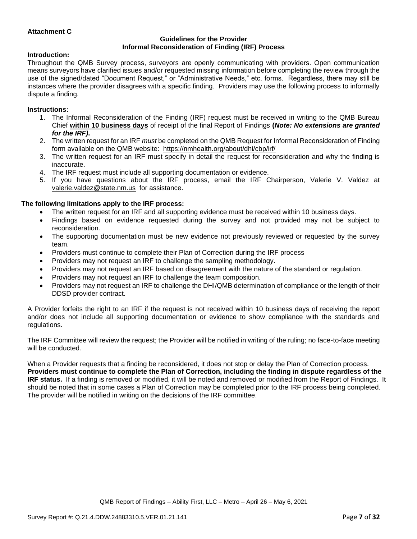## **Attachment C**

## **Guidelines for the Provider Informal Reconsideration of Finding (IRF) Process**

## **Introduction:**

Throughout the QMB Survey process, surveyors are openly communicating with providers. Open communication means surveyors have clarified issues and/or requested missing information before completing the review through the use of the signed/dated "Document Request," or "Administrative Needs," etc. forms. Regardless, there may still be instances where the provider disagrees with a specific finding. Providers may use the following process to informally dispute a finding.

#### **Instructions:**

- 1. The Informal Reconsideration of the Finding (IRF) request must be received in writing to the QMB Bureau Chief **within 10 business days** of receipt of the final Report of Findings **(***Note: No extensions are granted for the IRF)***.**
- 2. The written request for an IRF *must* be completed on the QMB Request for Informal Reconsideration of Finding form available on the QMB website: <https://nmhealth.org/about/dhi/cbp/irf/>
- 3. The written request for an IRF must specify in detail the request for reconsideration and why the finding is inaccurate.
- 4. The IRF request must include all supporting documentation or evidence.
- 5. If you have questions about the IRF process, email the IRF Chairperson, Valerie V. Valdez at [valerie.valdez@state.nm.us](mailto:valerie.valdez@state.nm.us) for assistance.

## **The following limitations apply to the IRF process:**

- The written request for an IRF and all supporting evidence must be received within 10 business days.
- Findings based on evidence requested during the survey and not provided may not be subject to reconsideration.
- The supporting documentation must be new evidence not previously reviewed or requested by the survey team.
- Providers must continue to complete their Plan of Correction during the IRF process
- Providers may not request an IRF to challenge the sampling methodology.
- Providers may not request an IRF based on disagreement with the nature of the standard or regulation.
- Providers may not request an IRF to challenge the team composition.
- Providers may not request an IRF to challenge the DHI/QMB determination of compliance or the length of their DDSD provider contract.

A Provider forfeits the right to an IRF if the request is not received within 10 business days of receiving the report and/or does not include all supporting documentation or evidence to show compliance with the standards and regulations.

The IRF Committee will review the request; the Provider will be notified in writing of the ruling; no face-to-face meeting will be conducted.

When a Provider requests that a finding be reconsidered, it does not stop or delay the Plan of Correction process. **Providers must continue to complete the Plan of Correction, including the finding in dispute regardless of the IRF status.** If a finding is removed or modified, it will be noted and removed or modified from the Report of Findings. It should be noted that in some cases a Plan of Correction may be completed prior to the IRF process being completed. The provider will be notified in writing on the decisions of the IRF committee.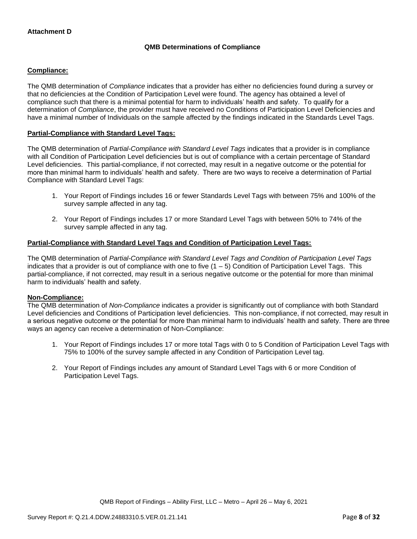# **QMB Determinations of Compliance**

## **Compliance:**

The QMB determination of *Compliance* indicates that a provider has either no deficiencies found during a survey or that no deficiencies at the Condition of Participation Level were found. The agency has obtained a level of compliance such that there is a minimal potential for harm to individuals' health and safety. To qualify for a determination of *Compliance*, the provider must have received no Conditions of Participation Level Deficiencies and have a minimal number of Individuals on the sample affected by the findings indicated in the Standards Level Tags.

## **Partial-Compliance with Standard Level Tags:**

The QMB determination of *Partial-Compliance with Standard Level Tags* indicates that a provider is in compliance with all Condition of Participation Level deficiencies but is out of compliance with a certain percentage of Standard Level deficiencies. This partial-compliance, if not corrected, may result in a negative outcome or the potential for more than minimal harm to individuals' health and safety. There are two ways to receive a determination of Partial Compliance with Standard Level Tags:

- 1. Your Report of Findings includes 16 or fewer Standards Level Tags with between 75% and 100% of the survey sample affected in any tag.
- 2. Your Report of Findings includes 17 or more Standard Level Tags with between 50% to 74% of the survey sample affected in any tag.

## **Partial-Compliance with Standard Level Tags and Condition of Participation Level Tags:**

The QMB determination of *Partial-Compliance with Standard Level Tags and Condition of Participation Level Tags*  indicates that a provider is out of compliance with one to five  $(1 - 5)$  Condition of Participation Level Tags. This partial-compliance, if not corrected, may result in a serious negative outcome or the potential for more than minimal harm to individuals' health and safety.

## **Non-Compliance:**

The QMB determination of *Non-Compliance* indicates a provider is significantly out of compliance with both Standard Level deficiencies and Conditions of Participation level deficiencies. This non-compliance, if not corrected, may result in a serious negative outcome or the potential for more than minimal harm to individuals' health and safety. There are three ways an agency can receive a determination of Non-Compliance:

- 1. Your Report of Findings includes 17 or more total Tags with 0 to 5 Condition of Participation Level Tags with 75% to 100% of the survey sample affected in any Condition of Participation Level tag.
- 2. Your Report of Findings includes any amount of Standard Level Tags with 6 or more Condition of Participation Level Tags.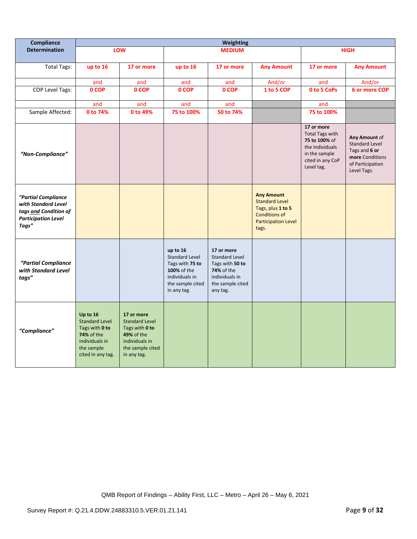| Compliance                                                                                                 | <b>Weighting</b>                                                                                                       |                                                                                                                          |                                                                                                                          |                                                                                                                        |                                                                                                                                |                                                                                                                             |                                                                                                               |
|------------------------------------------------------------------------------------------------------------|------------------------------------------------------------------------------------------------------------------------|--------------------------------------------------------------------------------------------------------------------------|--------------------------------------------------------------------------------------------------------------------------|------------------------------------------------------------------------------------------------------------------------|--------------------------------------------------------------------------------------------------------------------------------|-----------------------------------------------------------------------------------------------------------------------------|---------------------------------------------------------------------------------------------------------------|
| <b>Determination</b>                                                                                       |                                                                                                                        | LOW                                                                                                                      |                                                                                                                          | <b>MEDIUM</b>                                                                                                          |                                                                                                                                |                                                                                                                             | <b>HIGH</b>                                                                                                   |
| <b>Total Tags:</b>                                                                                         | up to 16                                                                                                               | 17 or more                                                                                                               | up to 16                                                                                                                 | 17 or more                                                                                                             | <b>Any Amount</b>                                                                                                              | 17 or more                                                                                                                  | <b>Any Amount</b>                                                                                             |
|                                                                                                            |                                                                                                                        |                                                                                                                          |                                                                                                                          |                                                                                                                        |                                                                                                                                |                                                                                                                             |                                                                                                               |
|                                                                                                            | and<br>0 COP                                                                                                           | and                                                                                                                      | and<br>0 COP                                                                                                             | and<br>0 COP                                                                                                           | And/or<br>1 to 5 COP                                                                                                           | and<br>0 to 5 CoPs                                                                                                          | And/or<br><b>6 or more COP</b>                                                                                |
| COP Level Tags:                                                                                            |                                                                                                                        | 0 COP                                                                                                                    |                                                                                                                          |                                                                                                                        |                                                                                                                                |                                                                                                                             |                                                                                                               |
|                                                                                                            | and                                                                                                                    | and                                                                                                                      | and                                                                                                                      | and                                                                                                                    |                                                                                                                                | and                                                                                                                         |                                                                                                               |
| Sample Affected:                                                                                           | 0 to 74%                                                                                                               | 0 to 49%                                                                                                                 | 75 to 100%                                                                                                               | 50 to 74%                                                                                                              |                                                                                                                                | 75 to 100%                                                                                                                  |                                                                                                               |
| "Non-Compliance"                                                                                           |                                                                                                                        |                                                                                                                          |                                                                                                                          |                                                                                                                        |                                                                                                                                | 17 or more<br><b>Total Tags with</b><br>75 to 100% of<br>the Individuals<br>in the sample<br>cited in any CoP<br>Level tag. | Any Amount of<br><b>Standard Level</b><br>Tags and 6 or<br>more Conditions<br>of Participation<br>Level Tags. |
| "Partial Compliance<br>with Standard Level<br>tags and Condition of<br><b>Participation Level</b><br>Tags" |                                                                                                                        |                                                                                                                          |                                                                                                                          |                                                                                                                        | <b>Any Amount</b><br><b>Standard Level</b><br>Tags, plus 1 to 5<br><b>Conditions of</b><br><b>Participation Level</b><br>tags. |                                                                                                                             |                                                                                                               |
| "Partial Compliance<br>with Standard Level<br>tags"                                                        |                                                                                                                        |                                                                                                                          | up to 16<br><b>Standard Level</b><br>Tags with 75 to<br>100% of the<br>individuals in<br>the sample cited<br>in any tag. | 17 or more<br>Standard Level<br>Tags with 50 to<br><b>74%</b> of the<br>individuals in<br>the sample cited<br>any tag. |                                                                                                                                |                                                                                                                             |                                                                                                               |
| "Compliance"                                                                                               | Up to 16<br><b>Standard Level</b><br>Tags with 0 to<br>74% of the<br>individuals in<br>the sample<br>cited in any tag. | 17 or more<br><b>Standard Level</b><br>Tags with 0 to<br>49% of the<br>individuals in<br>the sample cited<br>in any tag. |                                                                                                                          |                                                                                                                        |                                                                                                                                |                                                                                                                             |                                                                                                               |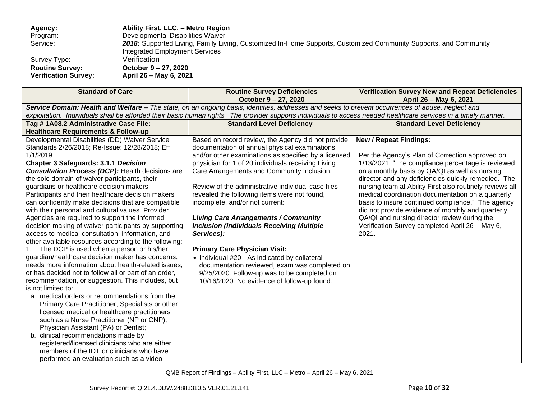**Agency: Ability First, LLC. – Metro Region** Program: Developmental Disabilities Waiver<br>Service: 2018: Supported Living, Family Liv 2018: Supported Living, Family Living, Customized In-Home Supports, Customized Community Supports, and Community Integrated Employment Services Survey Type: Verification<br>
Routine Survey: Cotober 9-**Routine Survey: October 9 – 27, 2020 Verification Survey: April 26 – May 6, 2021**

| <b>Standard of Care</b>                                                                                                                           | <b>Routine Survey Deficiencies</b><br>October 9 - 27, 2020                                                                                                       | <b>Verification Survey New and Repeat Deficiencies</b><br>April 26 - May 6, 2021 |  |  |  |  |
|---------------------------------------------------------------------------------------------------------------------------------------------------|------------------------------------------------------------------------------------------------------------------------------------------------------------------|----------------------------------------------------------------------------------|--|--|--|--|
| Service Domain: Health and Welfare - The state, on an ongoing basis, identifies, addresses and seeks to prevent occurrences of abuse, neglect and |                                                                                                                                                                  |                                                                                  |  |  |  |  |
|                                                                                                                                                   | exploitation. Individuals shall be afforded their basic human rights. The provider supports individuals to access needed healthcare services in a timely manner. |                                                                                  |  |  |  |  |
| Tag #1A08.2 Administrative Case File:                                                                                                             | <b>Standard Level Deficiency</b>                                                                                                                                 | <b>Standard Level Deficiency</b>                                                 |  |  |  |  |
| <b>Healthcare Requirements &amp; Follow-up</b>                                                                                                    |                                                                                                                                                                  |                                                                                  |  |  |  |  |
| Developmental Disabilities (DD) Waiver Service                                                                                                    | Based on record review, the Agency did not provide                                                                                                               | <b>New / Repeat Findings:</b>                                                    |  |  |  |  |
| Standards 2/26/2018; Re-Issue: 12/28/2018; Eff                                                                                                    | documentation of annual physical examinations                                                                                                                    |                                                                                  |  |  |  |  |
| 1/1/2019                                                                                                                                          | and/or other examinations as specified by a licensed                                                                                                             | Per the Agency's Plan of Correction approved on                                  |  |  |  |  |
| <b>Chapter 3 Safeguards: 3.1.1 Decision</b>                                                                                                       | physician for 1 of 20 individuals receiving Living                                                                                                               | 1/13/2021, "The compliance percentage is reviewed                                |  |  |  |  |
| <b>Consultation Process (DCP):</b> Health decisions are                                                                                           | Care Arrangements and Community Inclusion.                                                                                                                       | on a monthly basis by QA/QI as well as nursing                                   |  |  |  |  |
| the sole domain of waiver participants, their                                                                                                     |                                                                                                                                                                  | director and any deficiencies quickly remedied. The                              |  |  |  |  |
| guardians or healthcare decision makers.                                                                                                          | Review of the administrative individual case files                                                                                                               | nursing team at Ability First also routinely reviews all                         |  |  |  |  |
| Participants and their healthcare decision makers                                                                                                 | revealed the following items were not found,                                                                                                                     | medical coordination documentation on a quarterly                                |  |  |  |  |
| can confidently make decisions that are compatible                                                                                                | incomplete, and/or not current:                                                                                                                                  | basis to insure continued compliance." The agency                                |  |  |  |  |
| with their personal and cultural values. Provider                                                                                                 |                                                                                                                                                                  | did not provide evidence of monthly and quarterly                                |  |  |  |  |
| Agencies are required to support the informed                                                                                                     | <b>Living Care Arrangements / Community</b>                                                                                                                      | QA/QI and nursing director review during the                                     |  |  |  |  |
| decision making of waiver participants by supporting                                                                                              | <b>Inclusion (Individuals Receiving Multiple</b>                                                                                                                 | Verification Survey completed April 26 - May 6,                                  |  |  |  |  |
| access to medical consultation, information, and                                                                                                  | Services):                                                                                                                                                       | 2021.                                                                            |  |  |  |  |
| other available resources according to the following:                                                                                             |                                                                                                                                                                  |                                                                                  |  |  |  |  |
| The DCP is used when a person or his/her<br>1.                                                                                                    | <b>Primary Care Physician Visit:</b>                                                                                                                             |                                                                                  |  |  |  |  |
| guardian/healthcare decision maker has concerns,                                                                                                  | • Individual #20 - As indicated by collateral                                                                                                                    |                                                                                  |  |  |  |  |
| needs more information about health-related issues,                                                                                               | documentation reviewed, exam was completed on                                                                                                                    |                                                                                  |  |  |  |  |
| or has decided not to follow all or part of an order,                                                                                             | 9/25/2020. Follow-up was to be completed on                                                                                                                      |                                                                                  |  |  |  |  |
| recommendation, or suggestion. This includes, but                                                                                                 | 10/16/2020. No evidence of follow-up found.                                                                                                                      |                                                                                  |  |  |  |  |
| is not limited to:                                                                                                                                |                                                                                                                                                                  |                                                                                  |  |  |  |  |
| a. medical orders or recommendations from the                                                                                                     |                                                                                                                                                                  |                                                                                  |  |  |  |  |
| Primary Care Practitioner, Specialists or other                                                                                                   |                                                                                                                                                                  |                                                                                  |  |  |  |  |
| licensed medical or healthcare practitioners                                                                                                      |                                                                                                                                                                  |                                                                                  |  |  |  |  |
| such as a Nurse Practitioner (NP or CNP),                                                                                                         |                                                                                                                                                                  |                                                                                  |  |  |  |  |
| Physician Assistant (PA) or Dentist;                                                                                                              |                                                                                                                                                                  |                                                                                  |  |  |  |  |
| b. clinical recommendations made by                                                                                                               |                                                                                                                                                                  |                                                                                  |  |  |  |  |
| registered/licensed clinicians who are either                                                                                                     |                                                                                                                                                                  |                                                                                  |  |  |  |  |
| members of the IDT or clinicians who have                                                                                                         |                                                                                                                                                                  |                                                                                  |  |  |  |  |
| performed an evaluation such as a video-                                                                                                          |                                                                                                                                                                  |                                                                                  |  |  |  |  |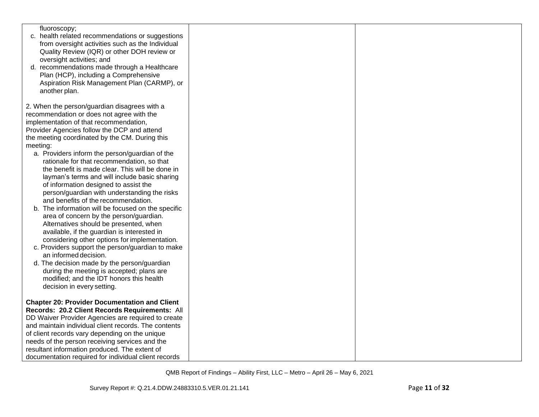| fluoroscopy;                                         |  |
|------------------------------------------------------|--|
| c. health related recommendations or suggestions     |  |
| from oversight activities such as the Individual     |  |
| Quality Review (IQR) or other DOH review or          |  |
| oversight activities; and                            |  |
| d. recommendations made through a Healthcare         |  |
| Plan (HCP), including a Comprehensive                |  |
| Aspiration Risk Management Plan (CARMP), or          |  |
| another plan.                                        |  |
|                                                      |  |
| 2. When the person/guardian disagrees with a         |  |
| recommendation or does not agree with the            |  |
| implementation of that recommendation,               |  |
| Provider Agencies follow the DCP and attend          |  |
| the meeting coordinated by the CM. During this       |  |
| meeting:                                             |  |
| a. Providers inform the person/guardian of the       |  |
| rationale for that recommendation, so that           |  |
| the benefit is made clear. This will be done in      |  |
| layman's terms and will include basic sharing        |  |
| of information designed to assist the                |  |
| person/guardian with understanding the risks         |  |
| and benefits of the recommendation.                  |  |
| b. The information will be focused on the specific   |  |
|                                                      |  |
| area of concern by the person/guardian.              |  |
| Alternatives should be presented, when               |  |
| available, if the guardian is interested in          |  |
| considering other options for implementation.        |  |
| c. Providers support the person/guardian to make     |  |
| an informed decision.                                |  |
| d. The decision made by the person/guardian          |  |
| during the meeting is accepted; plans are            |  |
| modified; and the IDT honors this health             |  |
| decision in every setting.                           |  |
|                                                      |  |
| <b>Chapter 20: Provider Documentation and Client</b> |  |
| Records: 20.2 Client Records Requirements: All       |  |
| DD Waiver Provider Agencies are required to create   |  |
| and maintain individual client records. The contents |  |
| of client records vary depending on the unique       |  |
| needs of the person receiving services and the       |  |
| resultant information produced. The extent of        |  |
| documentation required for individual client records |  |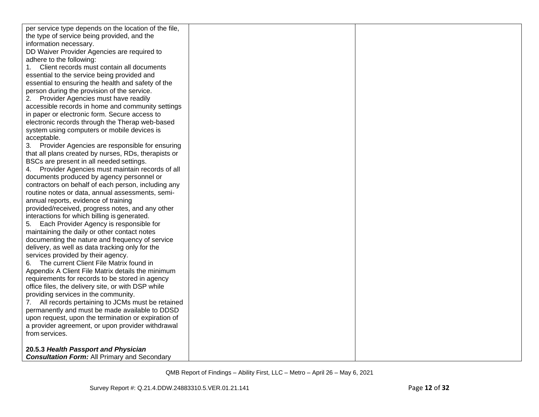| per service type depends on the location of the file, |  |
|-------------------------------------------------------|--|
| the type of service being provided, and the           |  |
| information necessary.                                |  |
| DD Waiver Provider Agencies are required to           |  |
| adhere to the following:                              |  |
| 1. Client records must contain all documents          |  |
| essential to the service being provided and           |  |
| essential to ensuring the health and safety of the    |  |
| person during the provision of the service.           |  |
| 2. Provider Agencies must have readily                |  |
| accessible records in home and community settings     |  |
| in paper or electronic form. Secure access to         |  |
| electronic records through the Therap web-based       |  |
| system using computers or mobile devices is           |  |
| acceptable.                                           |  |
| 3. Provider Agencies are responsible for ensuring     |  |
| that all plans created by nurses, RDs, therapists or  |  |
| BSCs are present in all needed settings.              |  |
| 4. Provider Agencies must maintain records of all     |  |
| documents produced by agency personnel or             |  |
| contractors on behalf of each person, including any   |  |
| routine notes or data, annual assessments, semi-      |  |
| annual reports, evidence of training                  |  |
| provided/received, progress notes, and any other      |  |
| interactions for which billing is generated.          |  |
| 5. Each Provider Agency is responsible for            |  |
| maintaining the daily or other contact notes          |  |
| documenting the nature and frequency of service       |  |
| delivery, as well as data tracking only for the       |  |
| services provided by their agency.                    |  |
| 6. The current Client File Matrix found in            |  |
| Appendix A Client File Matrix details the minimum     |  |
| requirements for records to be stored in agency       |  |
| office files, the delivery site, or with DSP while    |  |
| providing services in the community.                  |  |
| 7. All records pertaining to JCMs must be retained    |  |
| permanently and must be made available to DDSD        |  |
| upon request, upon the termination or expiration of   |  |
| a provider agreement, or upon provider withdrawal     |  |
| from services.                                        |  |
|                                                       |  |
| 20.5.3 Health Passport and Physician                  |  |
| <b>Consultation Form:</b> All Primary and Secondary   |  |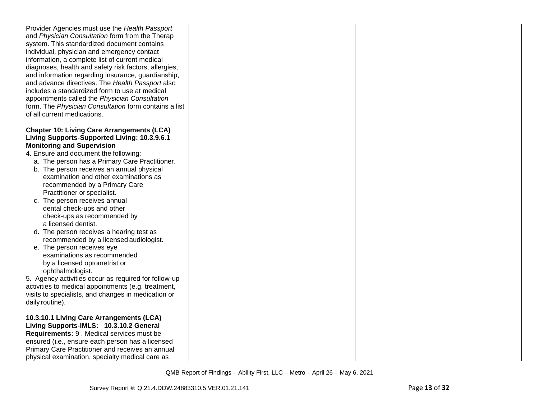| Provider Agencies must use the Health Passport<br>and Physician Consultation form from the Therap |  |
|---------------------------------------------------------------------------------------------------|--|
| system. This standardized document contains                                                       |  |
| individual, physician and emergency contact                                                       |  |
| information, a complete list of current medical                                                   |  |
| diagnoses, health and safety risk factors, allergies,                                             |  |
| and information regarding insurance, guardianship,                                                |  |
| and advance directives. The Health Passport also                                                  |  |
| includes a standardized form to use at medical                                                    |  |
| appointments called the Physician Consultation                                                    |  |
| form. The Physician Consultation form contains a list                                             |  |
| of all current medications.                                                                       |  |
|                                                                                                   |  |
| <b>Chapter 10: Living Care Arrangements (LCA)</b>                                                 |  |
| Living Supports-Supported Living: 10.3.9.6.1                                                      |  |
| <b>Monitoring and Supervision</b>                                                                 |  |
| 4. Ensure and document the following:                                                             |  |
| a. The person has a Primary Care Practitioner.                                                    |  |
| b. The person receives an annual physical<br>examination and other examinations as                |  |
|                                                                                                   |  |
| recommended by a Primary Care<br>Practitioner or specialist.                                      |  |
| c. The person receives annual                                                                     |  |
| dental check-ups and other                                                                        |  |
| check-ups as recommended by                                                                       |  |
| a licensed dentist.                                                                               |  |
| d. The person receives a hearing test as                                                          |  |
| recommended by a licensed audiologist.                                                            |  |
| e. The person receives eye                                                                        |  |
| examinations as recommended                                                                       |  |
| by a licensed optometrist or                                                                      |  |
| ophthalmologist.                                                                                  |  |
| 5. Agency activities occur as required for follow-up                                              |  |
| activities to medical appointments (e.g. treatment,                                               |  |
| visits to specialists, and changes in medication or                                               |  |
| daily routine).                                                                                   |  |
| 10.3.10.1 Living Care Arrangements (LCA)                                                          |  |
| Living Supports-IMLS: 10.3.10.2 General                                                           |  |
| Requirements: 9 . Medical services must be                                                        |  |
| ensured (i.e., ensure each person has a licensed                                                  |  |
| Primary Care Practitioner and receives an annual                                                  |  |
| physical examination, specialty medical care as                                                   |  |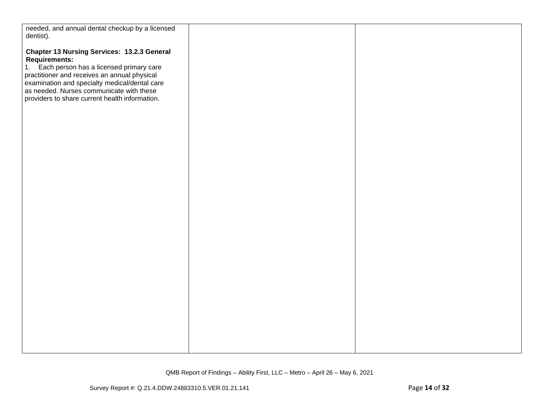| needed, and annual dental checkup by a licensed                                           |  |
|-------------------------------------------------------------------------------------------|--|
| dentist).                                                                                 |  |
|                                                                                           |  |
| <b>Chapter 13 Nursing Services: 13.2.3 General</b>                                        |  |
| <b>Requirements:</b>                                                                      |  |
|                                                                                           |  |
| 1. Each person has a licensed primary care                                                |  |
| practitioner and receives an annual physical                                              |  |
| examination and specialty medical/dental care<br>as needed. Nurses communicate with these |  |
|                                                                                           |  |
| providers to share current health information.                                            |  |
|                                                                                           |  |
|                                                                                           |  |
|                                                                                           |  |
|                                                                                           |  |
|                                                                                           |  |
|                                                                                           |  |
|                                                                                           |  |
|                                                                                           |  |
|                                                                                           |  |
|                                                                                           |  |
|                                                                                           |  |
|                                                                                           |  |
|                                                                                           |  |
|                                                                                           |  |
|                                                                                           |  |
|                                                                                           |  |
|                                                                                           |  |
|                                                                                           |  |
|                                                                                           |  |
|                                                                                           |  |
|                                                                                           |  |
|                                                                                           |  |
|                                                                                           |  |
|                                                                                           |  |
|                                                                                           |  |
|                                                                                           |  |
|                                                                                           |  |
|                                                                                           |  |
|                                                                                           |  |
|                                                                                           |  |
|                                                                                           |  |
|                                                                                           |  |
|                                                                                           |  |
|                                                                                           |  |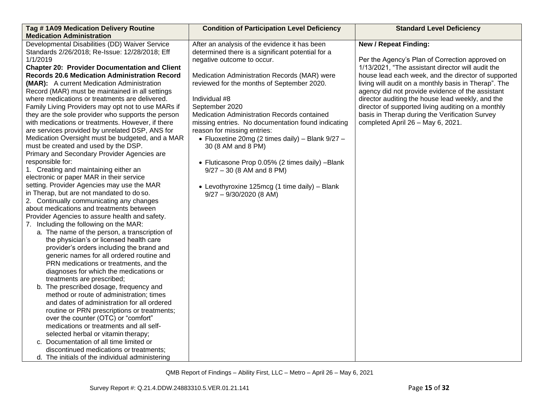| Tag #1A09 Medication Delivery Routine                | <b>Condition of Participation Level Deficiency</b> | <b>Standard Level Deficiency</b>                     |
|------------------------------------------------------|----------------------------------------------------|------------------------------------------------------|
| <b>Medication Administration</b>                     |                                                    |                                                      |
| Developmental Disabilities (DD) Waiver Service       | After an analysis of the evidence it has been      | <b>New / Repeat Finding:</b>                         |
| Standards 2/26/2018; Re-Issue: 12/28/2018; Eff       | determined there is a significant potential for a  |                                                      |
| 1/1/2019                                             | negative outcome to occur.                         | Per the Agency's Plan of Correction approved on      |
| <b>Chapter 20: Provider Documentation and Client</b> |                                                    | 1/13/2021, "The assistant director will audit the    |
| <b>Records 20.6 Medication Administration Record</b> | Medication Administration Records (MAR) were       | house lead each week, and the director of supported  |
| (MAR): A current Medication Administration           | reviewed for the months of September 2020.         | living will audit on a monthly basis in Therap". The |
| Record (MAR) must be maintained in all settings      |                                                    | agency did not provide evidence of the assistant     |
| where medications or treatments are delivered.       | Individual #8                                      | director auditing the house lead weekly, and the     |
| Family Living Providers may opt not to use MARs if   | September 2020                                     | director of supported living auditing on a monthly   |
| they are the sole provider who supports the person   | Medication Administration Records contained        | basis in Therap during the Verification Survey       |
| with medications or treatments. However, if there    | missing entries. No documentation found indicating | completed April 26 - May 6, 2021.                    |
| are services provided by unrelated DSP, ANS for      | reason for missing entries:                        |                                                      |
| Medication Oversight must be budgeted, and a MAR     | • Fluoxetine 20mg (2 times daily) - Blank 9/27 -   |                                                      |
| must be created and used by the DSP.                 | 30 (8 AM and 8 PM)                                 |                                                      |
| Primary and Secondary Provider Agencies are          |                                                    |                                                      |
| responsible for:                                     | • Fluticasone Prop 0.05% (2 times daily) -Blank    |                                                      |
| 1. Creating and maintaining either an                | $9/27 - 30$ (8 AM and 8 PM)                        |                                                      |
| electronic or paper MAR in their service             |                                                    |                                                      |
| setting. Provider Agencies may use the MAR           | • Levothyroxine 125mcg (1 time daily) - Blank      |                                                      |
| in Therap, but are not mandated to do so.            | $9/27 - 9/30/2020$ (8 AM)                          |                                                      |
| 2. Continually communicating any changes             |                                                    |                                                      |
| about medications and treatments between             |                                                    |                                                      |
| Provider Agencies to assure health and safety.       |                                                    |                                                      |
| 7. Including the following on the MAR:               |                                                    |                                                      |
| a. The name of the person, a transcription of        |                                                    |                                                      |
| the physician's or licensed health care              |                                                    |                                                      |
| provider's orders including the brand and            |                                                    |                                                      |
| generic names for all ordered routine and            |                                                    |                                                      |
| PRN medications or treatments, and the               |                                                    |                                                      |
| diagnoses for which the medications or               |                                                    |                                                      |
| treatments are prescribed;                           |                                                    |                                                      |
| b. The prescribed dosage, frequency and              |                                                    |                                                      |
| method or route of administration; times             |                                                    |                                                      |
| and dates of administration for all ordered          |                                                    |                                                      |
| routine or PRN prescriptions or treatments;          |                                                    |                                                      |
| over the counter (OTC) or "comfort"                  |                                                    |                                                      |
| medications or treatments and all self-              |                                                    |                                                      |
| selected herbal or vitamin therapy;                  |                                                    |                                                      |
| c. Documentation of all time limited or              |                                                    |                                                      |
| discontinued medications or treatments;              |                                                    |                                                      |
| d. The initials of the individual administering      |                                                    |                                                      |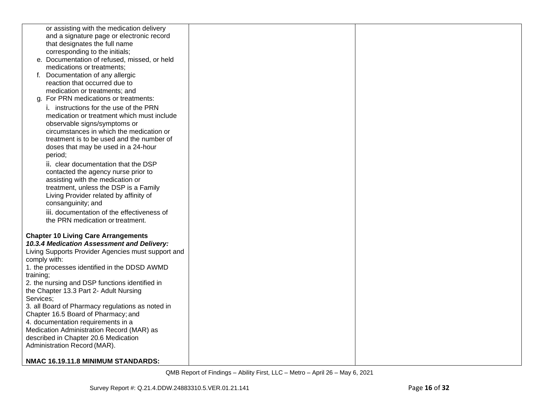| or assisting with the medication delivery                               |  |
|-------------------------------------------------------------------------|--|
| and a signature page or electronic record                               |  |
| that designates the full name                                           |  |
| corresponding to the initials;                                          |  |
| e. Documentation of refused, missed, or held                            |  |
| medications or treatments;                                              |  |
| f. Documentation of any allergic                                        |  |
| reaction that occurred due to                                           |  |
| medication or treatments; and                                           |  |
| g. For PRN medications or treatments:                                   |  |
| i. instructions for the use of the PRN                                  |  |
| medication or treatment which must include                              |  |
| observable signs/symptoms or                                            |  |
| circumstances in which the medication or                                |  |
| treatment is to be used and the number of                               |  |
| doses that may be used in a 24-hour                                     |  |
| period;                                                                 |  |
|                                                                         |  |
| ii. clear documentation that the DSP                                    |  |
| contacted the agency nurse prior to<br>assisting with the medication or |  |
| treatment, unless the DSP is a Family                                   |  |
|                                                                         |  |
| Living Provider related by affinity of                                  |  |
| consanguinity; and                                                      |  |
| iii. documentation of the effectiveness of                              |  |
| the PRN medication or treatment.                                        |  |
| <b>Chapter 10 Living Care Arrangements</b>                              |  |
| 10.3.4 Medication Assessment and Delivery:                              |  |
| Living Supports Provider Agencies must support and                      |  |
| comply with:                                                            |  |
| 1. the processes identified in the DDSD AWMD                            |  |
| training;                                                               |  |
| 2. the nursing and DSP functions identified in                          |  |
| the Chapter 13.3 Part 2- Adult Nursing                                  |  |
| Services;                                                               |  |
| 3. all Board of Pharmacy regulations as noted in                        |  |
| Chapter 16.5 Board of Pharmacy; and                                     |  |
| 4. documentation requirements in a                                      |  |
| Medication Administration Record (MAR) as                               |  |
| described in Chapter 20.6 Medication                                    |  |
| Administration Record (MAR).                                            |  |
|                                                                         |  |
| NMAC 16.19.11.8 MINIMUM STANDARDS:                                      |  |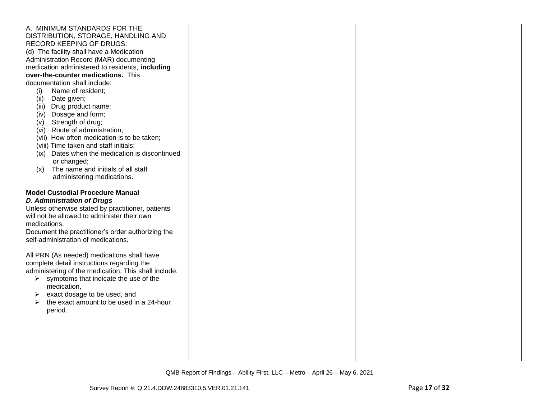| A. MINIMUM STANDARDS FOR THE                                                                                                                                                     |  |
|----------------------------------------------------------------------------------------------------------------------------------------------------------------------------------|--|
| DISTRIBUTION, STORAGE, HANDLING AND                                                                                                                                              |  |
| <b>RECORD KEEPING OF DRUGS:</b>                                                                                                                                                  |  |
| (d) The facility shall have a Medication                                                                                                                                         |  |
| Administration Record (MAR) documenting                                                                                                                                          |  |
| medication administered to residents, including                                                                                                                                  |  |
| over-the-counter medications. This                                                                                                                                               |  |
| documentation shall include:                                                                                                                                                     |  |
| Name of resident;<br>(i)                                                                                                                                                         |  |
| Date given;<br>(ii)                                                                                                                                                              |  |
| (iii) Drug product name;                                                                                                                                                         |  |
| (iv) Dosage and form;                                                                                                                                                            |  |
| (v) Strength of drug;<br>(vi) Route of administration;                                                                                                                           |  |
| (vii) How often medication is to be taken;                                                                                                                                       |  |
| (viii) Time taken and staff initials;                                                                                                                                            |  |
| (ix) Dates when the medication is discontinued                                                                                                                                   |  |
| or changed;                                                                                                                                                                      |  |
| The name and initials of all staff<br>(x)                                                                                                                                        |  |
| administering medications.                                                                                                                                                       |  |
|                                                                                                                                                                                  |  |
| <b>Model Custodial Procedure Manual</b><br><b>D. Administration of Drugs</b><br>Unless otherwise stated by practitioner, patients<br>will not be allowed to administer their own |  |
| medications.                                                                                                                                                                     |  |
| Document the practitioner's order authorizing the                                                                                                                                |  |
| self-administration of medications.                                                                                                                                              |  |
|                                                                                                                                                                                  |  |
| All PRN (As needed) medications shall have                                                                                                                                       |  |
| complete detail instructions regarding the                                                                                                                                       |  |
| administering of the medication. This shall include:                                                                                                                             |  |
| $\triangleright$ symptoms that indicate the use of the                                                                                                                           |  |
| medication,                                                                                                                                                                      |  |
| exact dosage to be used, and<br>➤                                                                                                                                                |  |
| the exact amount to be used in a 24-hour<br>➤                                                                                                                                    |  |
| period.                                                                                                                                                                          |  |
|                                                                                                                                                                                  |  |
|                                                                                                                                                                                  |  |
|                                                                                                                                                                                  |  |
|                                                                                                                                                                                  |  |
|                                                                                                                                                                                  |  |
|                                                                                                                                                                                  |  |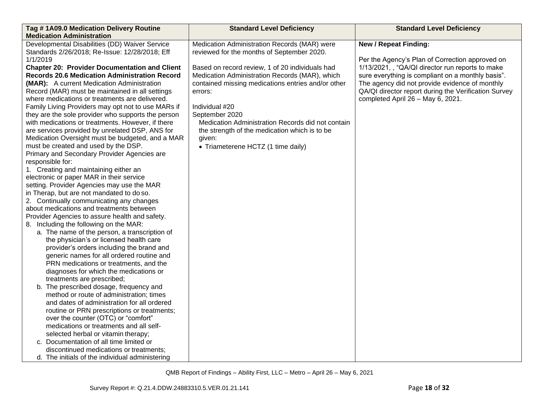| Tag #1A09.0 Medication Delivery Routine              | <b>Standard Level Deficiency</b>                   | <b>Standard Level Deficiency</b>                     |
|------------------------------------------------------|----------------------------------------------------|------------------------------------------------------|
| <b>Medication Administration</b>                     |                                                    |                                                      |
| Developmental Disabilities (DD) Waiver Service       | Medication Administration Records (MAR) were       | <b>New / Repeat Finding:</b>                         |
| Standards 2/26/2018; Re-Issue: 12/28/2018; Eff       | reviewed for the months of September 2020.         |                                                      |
| 1/1/2019                                             |                                                    | Per the Agency's Plan of Correction approved on      |
| <b>Chapter 20: Provider Documentation and Client</b> | Based on record review, 1 of 20 individuals had    | 1/13/2021, , "QA/QI director run reports to make     |
| <b>Records 20.6 Medication Administration Record</b> | Medication Administration Records (MAR), which     | sure everything is compliant on a monthly basis".    |
| (MAR): A current Medication Administration           | contained missing medications entries and/or other | The agency did not provide evidence of monthly       |
| Record (MAR) must be maintained in all settings      | errors:                                            | QA/QI director report during the Verification Survey |
| where medications or treatments are delivered.       |                                                    | completed April 26 - May 6, 2021.                    |
| Family Living Providers may opt not to use MARs if   | Individual #20                                     |                                                      |
| they are the sole provider who supports the person   | September 2020                                     |                                                      |
| with medications or treatments. However, if there    | Medication Administration Records did not contain  |                                                      |
| are services provided by unrelated DSP, ANS for      | the strength of the medication which is to be      |                                                      |
| Medication Oversight must be budgeted, and a MAR     | given:                                             |                                                      |
| must be created and used by the DSP.                 | • Triameterene HCTZ (1 time daily)                 |                                                      |
| Primary and Secondary Provider Agencies are          |                                                    |                                                      |
| responsible for:                                     |                                                    |                                                      |
| 1. Creating and maintaining either an                |                                                    |                                                      |
| electronic or paper MAR in their service             |                                                    |                                                      |
| setting. Provider Agencies may use the MAR           |                                                    |                                                      |
| in Therap, but are not mandated to do so.            |                                                    |                                                      |
| 2. Continually communicating any changes             |                                                    |                                                      |
| about medications and treatments between             |                                                    |                                                      |
| Provider Agencies to assure health and safety.       |                                                    |                                                      |
| 8. Including the following on the MAR:               |                                                    |                                                      |
| a. The name of the person, a transcription of        |                                                    |                                                      |
| the physician's or licensed health care              |                                                    |                                                      |
| provider's orders including the brand and            |                                                    |                                                      |
| generic names for all ordered routine and            |                                                    |                                                      |
| PRN medications or treatments, and the               |                                                    |                                                      |
| diagnoses for which the medications or               |                                                    |                                                      |
| treatments are prescribed;                           |                                                    |                                                      |
| b. The prescribed dosage, frequency and              |                                                    |                                                      |
| method or route of administration; times             |                                                    |                                                      |
| and dates of administration for all ordered          |                                                    |                                                      |
| routine or PRN prescriptions or treatments;          |                                                    |                                                      |
| over the counter (OTC) or "comfort"                  |                                                    |                                                      |
| medications or treatments and all self-              |                                                    |                                                      |
| selected herbal or vitamin therapy;                  |                                                    |                                                      |
| c. Documentation of all time limited or              |                                                    |                                                      |
| discontinued medications or treatments;              |                                                    |                                                      |
| d. The initials of the individual administering      |                                                    |                                                      |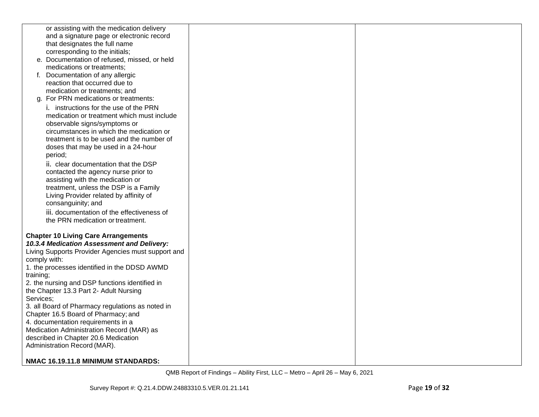| or assisting with the medication delivery                               |  |
|-------------------------------------------------------------------------|--|
| and a signature page or electronic record                               |  |
| that designates the full name                                           |  |
| corresponding to the initials;                                          |  |
| e. Documentation of refused, missed, or held                            |  |
| medications or treatments;                                              |  |
| f. Documentation of any allergic                                        |  |
| reaction that occurred due to                                           |  |
| medication or treatments; and                                           |  |
| g. For PRN medications or treatments:                                   |  |
| i. instructions for the use of the PRN                                  |  |
| medication or treatment which must include                              |  |
| observable signs/symptoms or                                            |  |
| circumstances in which the medication or                                |  |
| treatment is to be used and the number of                               |  |
| doses that may be used in a 24-hour                                     |  |
| period;                                                                 |  |
|                                                                         |  |
| ii. clear documentation that the DSP                                    |  |
| contacted the agency nurse prior to<br>assisting with the medication or |  |
| treatment, unless the DSP is a Family                                   |  |
|                                                                         |  |
| Living Provider related by affinity of                                  |  |
| consanguinity; and                                                      |  |
| iii. documentation of the effectiveness of                              |  |
| the PRN medication or treatment.                                        |  |
| <b>Chapter 10 Living Care Arrangements</b>                              |  |
| 10.3.4 Medication Assessment and Delivery:                              |  |
| Living Supports Provider Agencies must support and                      |  |
| comply with:                                                            |  |
| 1. the processes identified in the DDSD AWMD                            |  |
| training;                                                               |  |
| 2. the nursing and DSP functions identified in                          |  |
| the Chapter 13.3 Part 2- Adult Nursing                                  |  |
| Services;                                                               |  |
| 3. all Board of Pharmacy regulations as noted in                        |  |
| Chapter 16.5 Board of Pharmacy; and                                     |  |
| 4. documentation requirements in a                                      |  |
| Medication Administration Record (MAR) as                               |  |
| described in Chapter 20.6 Medication                                    |  |
| Administration Record (MAR).                                            |  |
|                                                                         |  |
| NMAC 16.19.11.8 MINIMUM STANDARDS:                                      |  |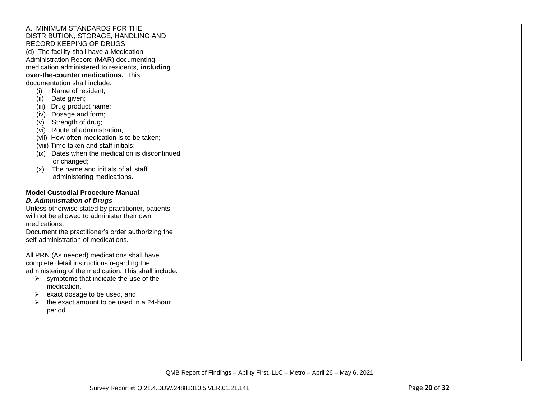| A. MINIMUM STANDARDS FOR THE                                                                                                                                                                                                                          |  |
|-------------------------------------------------------------------------------------------------------------------------------------------------------------------------------------------------------------------------------------------------------|--|
| DISTRIBUTION, STORAGE, HANDLING AND                                                                                                                                                                                                                   |  |
| <b>RECORD KEEPING OF DRUGS:</b>                                                                                                                                                                                                                       |  |
| (d) The facility shall have a Medication                                                                                                                                                                                                              |  |
| Administration Record (MAR) documenting                                                                                                                                                                                                               |  |
| medication administered to residents, including                                                                                                                                                                                                       |  |
| over-the-counter medications. This                                                                                                                                                                                                                    |  |
| documentation shall include:                                                                                                                                                                                                                          |  |
| Name of resident;<br>(i)                                                                                                                                                                                                                              |  |
| Date given;<br>(ii)                                                                                                                                                                                                                                   |  |
| (iii) Drug product name;                                                                                                                                                                                                                              |  |
| (iv) Dosage and form;                                                                                                                                                                                                                                 |  |
| (v) Strength of drug;                                                                                                                                                                                                                                 |  |
| (vi) Route of administration;                                                                                                                                                                                                                         |  |
| (vii) How often medication is to be taken;<br>(viii) Time taken and staff initials;                                                                                                                                                                   |  |
| (ix) Dates when the medication is discontinued                                                                                                                                                                                                        |  |
| or changed;                                                                                                                                                                                                                                           |  |
| The name and initials of all staff<br>(x)                                                                                                                                                                                                             |  |
| administering medications.                                                                                                                                                                                                                            |  |
|                                                                                                                                                                                                                                                       |  |
| <b>Model Custodial Procedure Manual</b><br><b>D. Administration of Drugs</b><br>Unless otherwise stated by practitioner, patients<br>will not be allowed to administer their own<br>medications.<br>Document the practitioner's order authorizing the |  |
| self-administration of medications.                                                                                                                                                                                                                   |  |
| All PRN (As needed) medications shall have                                                                                                                                                                                                            |  |
| complete detail instructions regarding the                                                                                                                                                                                                            |  |
| administering of the medication. This shall include:                                                                                                                                                                                                  |  |
| $\triangleright$ symptoms that indicate the use of the                                                                                                                                                                                                |  |
| medication,                                                                                                                                                                                                                                           |  |
| exact dosage to be used, and<br>➤                                                                                                                                                                                                                     |  |
| the exact amount to be used in a 24-hour<br>➤                                                                                                                                                                                                         |  |
| period.                                                                                                                                                                                                                                               |  |
|                                                                                                                                                                                                                                                       |  |
|                                                                                                                                                                                                                                                       |  |
|                                                                                                                                                                                                                                                       |  |
|                                                                                                                                                                                                                                                       |  |
|                                                                                                                                                                                                                                                       |  |
|                                                                                                                                                                                                                                                       |  |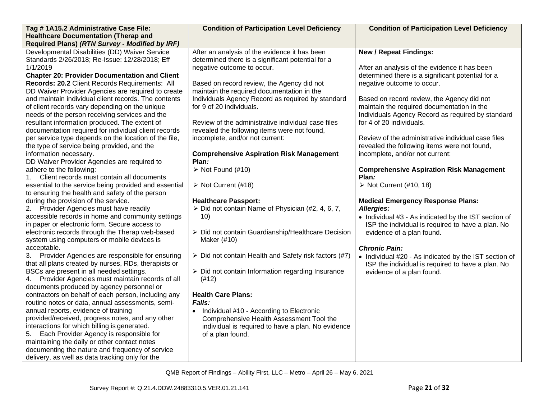| Tag #1A15.2 Administrative Case File:<br><b>Healthcare Documentation (Therap and</b>                                                                                                                                                                                                                                                                                                                                                                    | <b>Condition of Participation Level Deficiency</b>                                                                                                                                                                                                                                                            | <b>Condition of Participation Level Deficiency</b>                                                                                                                                                                                                            |
|---------------------------------------------------------------------------------------------------------------------------------------------------------------------------------------------------------------------------------------------------------------------------------------------------------------------------------------------------------------------------------------------------------------------------------------------------------|---------------------------------------------------------------------------------------------------------------------------------------------------------------------------------------------------------------------------------------------------------------------------------------------------------------|---------------------------------------------------------------------------------------------------------------------------------------------------------------------------------------------------------------------------------------------------------------|
| Required Plans) (RTN Survey - Modified by IRF)                                                                                                                                                                                                                                                                                                                                                                                                          |                                                                                                                                                                                                                                                                                                               |                                                                                                                                                                                                                                                               |
| Developmental Disabilities (DD) Waiver Service<br>Standards 2/26/2018; Re-Issue: 12/28/2018; Eff<br>1/1/2019<br><b>Chapter 20: Provider Documentation and Client</b><br>Records: 20.2 Client Records Requirements: All<br>DD Waiver Provider Agencies are required to create<br>and maintain individual client records. The contents<br>of client records vary depending on the unique                                                                  | After an analysis of the evidence it has been<br>determined there is a significant potential for a<br>negative outcome to occur.<br>Based on record review, the Agency did not<br>maintain the required documentation in the<br>Individuals Agency Record as required by standard<br>for 9 of 20 individuals. | <b>New / Repeat Findings:</b><br>After an analysis of the evidence it has been<br>determined there is a significant potential for a<br>negative outcome to occur.<br>Based on record review, the Agency did not<br>maintain the required documentation in the |
| needs of the person receiving services and the<br>resultant information produced. The extent of<br>documentation required for individual client records<br>per service type depends on the location of the file,<br>the type of service being provided, and the<br>information necessary.                                                                                                                                                               | Review of the administrative individual case files<br>revealed the following items were not found,<br>incomplete, and/or not current:<br><b>Comprehensive Aspiration Risk Management</b>                                                                                                                      | Individuals Agency Record as required by standard<br>for 4 of 20 individuals.<br>Review of the administrative individual case files<br>revealed the following items were not found,<br>incomplete, and/or not current:                                        |
| DD Waiver Provider Agencies are required to<br>adhere to the following:<br>Client records must contain all documents<br>1.<br>essential to the service being provided and essential                                                                                                                                                                                                                                                                     | Plan:<br>$\triangleright$ Not Found (#10)<br>$\triangleright$ Not Current (#18)                                                                                                                                                                                                                               | <b>Comprehensive Aspiration Risk Management</b><br>Plan:<br>$\triangleright$ Not Current (#10, 18)                                                                                                                                                            |
| to ensuring the health and safety of the person<br>during the provision of the service.<br>2. Provider Agencies must have readily<br>accessible records in home and community settings<br>in paper or electronic form. Secure access to<br>electronic records through the Therap web-based                                                                                                                                                              | <b>Healthcare Passport:</b><br>$\triangleright$ Did not contain Name of Physician (#2, 4, 6, 7,<br>10)<br>> Did not contain Guardianship/Healthcare Decision<br>Maker (#10)                                                                                                                                   | <b>Medical Emergency Response Plans:</b><br>Allergies:<br>• Individual #3 - As indicated by the IST section of<br>ISP the individual is required to have a plan. No<br>evidence of a plan found.                                                              |
| system using computers or mobile devices is<br>acceptable.<br>3. Provider Agencies are responsible for ensuring<br>that all plans created by nurses, RDs, therapists or<br>BSCs are present in all needed settings.<br>4. Provider Agencies must maintain records of all<br>documents produced by agency personnel or                                                                                                                                   | $\triangleright$ Did not contain Health and Safety risk factors (#7)<br>> Did not contain Information regarding Insurance<br>(#12)                                                                                                                                                                            | <b>Chronic Pain:</b><br>• Individual #20 - As indicated by the IST section of<br>ISP the individual is required to have a plan. No<br>evidence of a plan found.                                                                                               |
| contractors on behalf of each person, including any<br>routine notes or data, annual assessments, semi-<br>annual reports, evidence of training<br>provided/received, progress notes, and any other<br>interactions for which billing is generated.<br>5. Each Provider Agency is responsible for<br>maintaining the daily or other contact notes<br>documenting the nature and frequency of service<br>delivery, as well as data tracking only for the | <b>Health Care Plans:</b><br><b>Falls:</b><br>Individual #10 - According to Electronic<br>$\bullet$<br>Comprehensive Health Assessment Tool the<br>individual is required to have a plan. No evidence<br>of a plan found.                                                                                     |                                                                                                                                                                                                                                                               |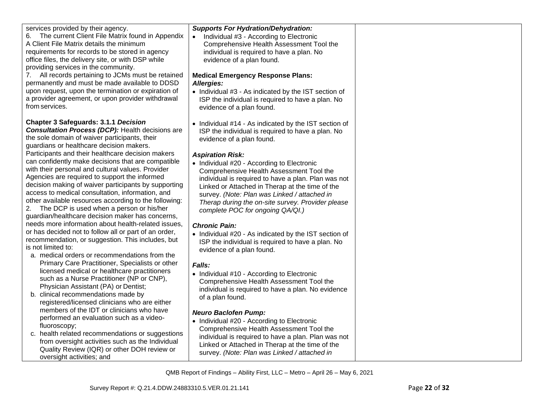| services provided by their agency.<br>The current Client File Matrix found in Appendix<br>6.<br>A Client File Matrix details the minimum<br>requirements for records to be stored in agency<br>office files, the delivery site, or with DSP while<br>providing services in the community.<br>7. All records pertaining to JCMs must be retained<br>permanently and must be made available to DDSD<br>upon request, upon the termination or expiration of<br>a provider agreement, or upon provider withdrawal<br>from services.                                                                                                                                                                                                                                                                                                                                                                                                                                                                                                                                                                                                                                                                                                                                                                                                                                                                                                                                                                                          | <b>Supports For Hydration/Dehydration:</b><br>Individual #3 - According to Electronic<br>Comprehensive Health Assessment Tool the<br>individual is required to have a plan. No<br>evidence of a plan found.<br><b>Medical Emergency Response Plans:</b><br>Allergies:<br>• Individual #3 - As indicated by the IST section of<br>ISP the individual is required to have a plan. No<br>evidence of a plan found.                                                                                                                                                                                                                                                                                                                                                                                                                                                                                                                                                                                                                                                                                                                                     |  |
|--------------------------------------------------------------------------------------------------------------------------------------------------------------------------------------------------------------------------------------------------------------------------------------------------------------------------------------------------------------------------------------------------------------------------------------------------------------------------------------------------------------------------------------------------------------------------------------------------------------------------------------------------------------------------------------------------------------------------------------------------------------------------------------------------------------------------------------------------------------------------------------------------------------------------------------------------------------------------------------------------------------------------------------------------------------------------------------------------------------------------------------------------------------------------------------------------------------------------------------------------------------------------------------------------------------------------------------------------------------------------------------------------------------------------------------------------------------------------------------------------------------------------|-----------------------------------------------------------------------------------------------------------------------------------------------------------------------------------------------------------------------------------------------------------------------------------------------------------------------------------------------------------------------------------------------------------------------------------------------------------------------------------------------------------------------------------------------------------------------------------------------------------------------------------------------------------------------------------------------------------------------------------------------------------------------------------------------------------------------------------------------------------------------------------------------------------------------------------------------------------------------------------------------------------------------------------------------------------------------------------------------------------------------------------------------------|--|
| <b>Chapter 3 Safeguards: 3.1.1 Decision</b><br><b>Consultation Process (DCP):</b> Health decisions are<br>the sole domain of waiver participants, their<br>guardians or healthcare decision makers.<br>Participants and their healthcare decision makers<br>can confidently make decisions that are compatible<br>with their personal and cultural values. Provider<br>Agencies are required to support the informed<br>decision making of waiver participants by supporting<br>access to medical consultation, information, and<br>other available resources according to the following:<br>The DCP is used when a person or his/her<br>2.<br>guardian/healthcare decision maker has concerns,<br>needs more information about health-related issues,<br>or has decided not to follow all or part of an order,<br>recommendation, or suggestion. This includes, but<br>is not limited to:<br>a. medical orders or recommendations from the<br>Primary Care Practitioner, Specialists or other<br>licensed medical or healthcare practitioners<br>such as a Nurse Practitioner (NP or CNP),<br>Physician Assistant (PA) or Dentist;<br>b. clinical recommendations made by<br>registered/licensed clinicians who are either<br>members of the IDT or clinicians who have<br>performed an evaluation such as a video-<br>fluoroscopy;<br>c. health related recommendations or suggestions<br>from oversight activities such as the Individual<br>Quality Review (IQR) or other DOH review or<br>oversight activities; and | • Individual #14 - As indicated by the IST section of<br>ISP the individual is required to have a plan. No<br>evidence of a plan found.<br><b>Aspiration Risk:</b><br>• Individual #20 - According to Electronic<br>Comprehensive Health Assessment Tool the<br>individual is required to have a plan. Plan was not<br>Linked or Attached in Therap at the time of the<br>survey. (Note: Plan was Linked / attached in<br>Therap during the on-site survey. Provider please<br>complete POC for ongoing QA/QI.)<br><b>Chronic Pain:</b><br>• Individual #20 - As indicated by the IST section of<br>ISP the individual is required to have a plan. No<br>evidence of a plan found.<br>Falls:<br>• Individual #10 - According to Electronic<br>Comprehensive Health Assessment Tool the<br>individual is required to have a plan. No evidence<br>of a plan found.<br><b>Neuro Baclofen Pump:</b><br>• Individual #20 - According to Electronic<br>Comprehensive Health Assessment Tool the<br>individual is required to have a plan. Plan was not<br>Linked or Attached in Therap at the time of the<br>survey. (Note: Plan was Linked / attached in |  |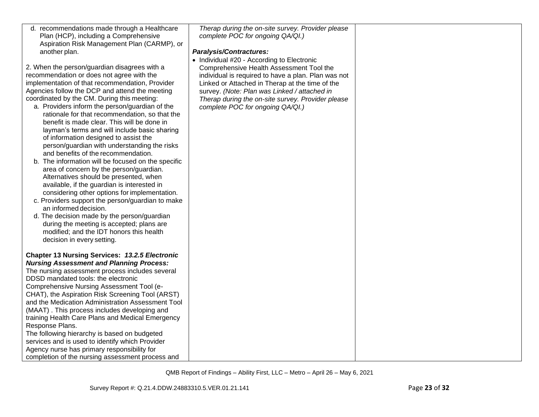| d. recommendations made through a Healthcare<br>Plan (HCP), including a Comprehensive         | Therap during the on-site survey. Provider please<br>complete POC for ongoing QA/QI.) |  |
|-----------------------------------------------------------------------------------------------|---------------------------------------------------------------------------------------|--|
| Aspiration Risk Management Plan (CARMP), or                                                   |                                                                                       |  |
| another plan.                                                                                 | <b>Paralysis/Contractures:</b>                                                        |  |
|                                                                                               | • Individual #20 - According to Electronic                                            |  |
| 2. When the person/guardian disagrees with a                                                  | Comprehensive Health Assessment Tool the                                              |  |
| recommendation or does not agree with the                                                     | individual is required to have a plan. Plan was not                                   |  |
| implementation of that recommendation, Provider                                               | Linked or Attached in Therap at the time of the                                       |  |
| Agencies follow the DCP and attend the meeting                                                | survey. (Note: Plan was Linked / attached in                                          |  |
| coordinated by the CM. During this meeting:                                                   | Therap during the on-site survey. Provider please                                     |  |
| a. Providers inform the person/guardian of the                                                | complete POC for ongoing QA/QI.)                                                      |  |
| rationale for that recommendation, so that the<br>benefit is made clear. This will be done in |                                                                                       |  |
|                                                                                               |                                                                                       |  |
| layman's terms and will include basic sharing<br>of information designed to assist the        |                                                                                       |  |
| person/guardian with understanding the risks                                                  |                                                                                       |  |
| and benefits of the recommendation.                                                           |                                                                                       |  |
| b. The information will be focused on the specific                                            |                                                                                       |  |
| area of concern by the person/guardian.                                                       |                                                                                       |  |
| Alternatives should be presented, when                                                        |                                                                                       |  |
| available, if the guardian is interested in                                                   |                                                                                       |  |
| considering other options for implementation.                                                 |                                                                                       |  |
| c. Providers support the person/guardian to make                                              |                                                                                       |  |
| an informed decision.                                                                         |                                                                                       |  |
| d. The decision made by the person/guardian                                                   |                                                                                       |  |
| during the meeting is accepted; plans are                                                     |                                                                                       |  |
| modified; and the IDT honors this health                                                      |                                                                                       |  |
| decision in every setting.                                                                    |                                                                                       |  |
|                                                                                               |                                                                                       |  |
| <b>Chapter 13 Nursing Services: 13.2.5 Electronic</b>                                         |                                                                                       |  |
| <b>Nursing Assessment and Planning Process:</b>                                               |                                                                                       |  |
| The nursing assessment process includes several                                               |                                                                                       |  |
| DDSD mandated tools: the electronic                                                           |                                                                                       |  |
| Comprehensive Nursing Assessment Tool (e-                                                     |                                                                                       |  |
| CHAT), the Aspiration Risk Screening Tool (ARST)                                              |                                                                                       |  |
| and the Medication Administration Assessment Tool                                             |                                                                                       |  |
| (MAAT). This process includes developing and                                                  |                                                                                       |  |
| training Health Care Plans and Medical Emergency                                              |                                                                                       |  |
| Response Plans.                                                                               |                                                                                       |  |
| The following hierarchy is based on budgeted                                                  |                                                                                       |  |
| services and is used to identify which Provider                                               |                                                                                       |  |
| Agency nurse has primary responsibility for                                                   |                                                                                       |  |
| completion of the nursing assessment process and                                              |                                                                                       |  |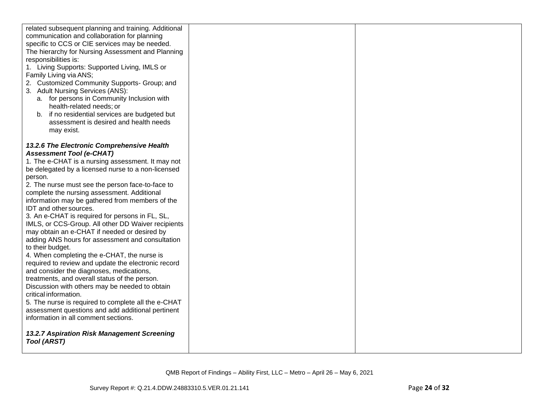| related subsequent planning and training. Additional<br>communication and collaboration for planning<br>specific to CCS or CIE services may be needed.<br>The hierarchy for Nursing Assessment and Planning<br>responsibilities is:<br>1. Living Supports: Supported Living, IMLS or<br>Family Living via ANS;<br>2. Customized Community Supports- Group; and<br>3. Adult Nursing Services (ANS):<br>a. for persons in Community Inclusion with<br>health-related needs; or<br>b. if no residential services are budgeted but<br>assessment is desired and health needs<br>may exist.                                                                                                                                                                                                                                                                                                                                                                                                                                                                 |  |
|--------------------------------------------------------------------------------------------------------------------------------------------------------------------------------------------------------------------------------------------------------------------------------------------------------------------------------------------------------------------------------------------------------------------------------------------------------------------------------------------------------------------------------------------------------------------------------------------------------------------------------------------------------------------------------------------------------------------------------------------------------------------------------------------------------------------------------------------------------------------------------------------------------------------------------------------------------------------------------------------------------------------------------------------------------|--|
| 13.2.6 The Electronic Comprehensive Health<br><b>Assessment Tool (e-CHAT)</b><br>1. The e-CHAT is a nursing assessment. It may not<br>be delegated by a licensed nurse to a non-licensed<br>person.<br>2. The nurse must see the person face-to-face to<br>complete the nursing assessment. Additional<br>information may be gathered from members of the<br>IDT and other sources.<br>3. An e-CHAT is required for persons in FL, SL,<br>IMLS, or CCS-Group. All other DD Waiver recipients<br>may obtain an e-CHAT if needed or desired by<br>adding ANS hours for assessment and consultation<br>to their budget.<br>4. When completing the e-CHAT, the nurse is<br>required to review and update the electronic record<br>and consider the diagnoses, medications,<br>treatments, and overall status of the person.<br>Discussion with others may be needed to obtain<br>critical information.<br>5. The nurse is required to complete all the e-CHAT<br>assessment questions and add additional pertinent<br>information in all comment sections. |  |
| 13.2.7 Aspiration Risk Management Screening<br><b>Tool (ARST)</b>                                                                                                                                                                                                                                                                                                                                                                                                                                                                                                                                                                                                                                                                                                                                                                                                                                                                                                                                                                                      |  |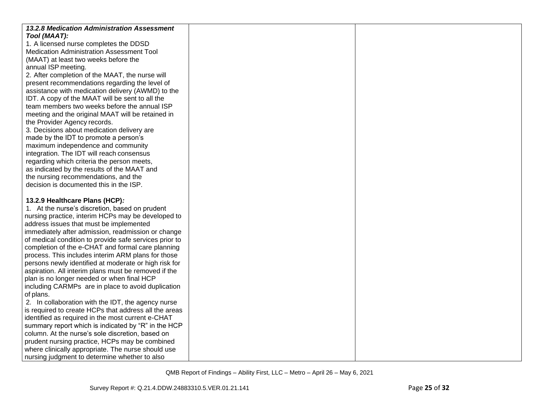| 13.2.8 Medication Administration Assessment            |  |
|--------------------------------------------------------|--|
| Tool (MAAT):                                           |  |
| 1. A licensed nurse completes the DDSD                 |  |
| Medication Administration Assessment Tool              |  |
| (MAAT) at least two weeks before the                   |  |
| annual ISP meeting.                                    |  |
| 2. After completion of the MAAT, the nurse will        |  |
| present recommendations regarding the level of         |  |
| assistance with medication delivery (AWMD) to the      |  |
| IDT. A copy of the MAAT will be sent to all the        |  |
| team members two weeks before the annual ISP           |  |
| meeting and the original MAAT will be retained in      |  |
| the Provider Agency records.                           |  |
| 3. Decisions about medication delivery are             |  |
| made by the IDT to promote a person's                  |  |
| maximum independence and community                     |  |
| integration. The IDT will reach consensus              |  |
| regarding which criteria the person meets,             |  |
| as indicated by the results of the MAAT and            |  |
| the nursing recommendations, and the                   |  |
| decision is documented this in the ISP.                |  |
| 13.2.9 Healthcare Plans (HCP):                         |  |
| 1. At the nurse's discretion, based on prudent         |  |
| nursing practice, interim HCPs may be developed to     |  |
| address issues that must be implemented                |  |
| immediately after admission, readmission or change     |  |
| of medical condition to provide safe services prior to |  |
| completion of the e-CHAT and formal care planning      |  |
| process. This includes interim ARM plans for those     |  |
| persons newly identified at moderate or high risk for  |  |
| aspiration. All interim plans must be removed if the   |  |
| plan is no longer needed or when final HCP             |  |
| including CARMPs are in place to avoid duplication     |  |
| of plans.                                              |  |
| 2. In collaboration with the IDT, the agency nurse     |  |
| is required to create HCPs that address all the areas  |  |
| identified as required in the most current e-CHAT      |  |
| summary report which is indicated by "R" in the HCP    |  |
| column. At the nurse's sole discretion, based on       |  |
| prudent nursing practice, HCPs may be combined         |  |
| where clinically appropriate. The nurse should use     |  |
| nursing judgment to determine whether to also          |  |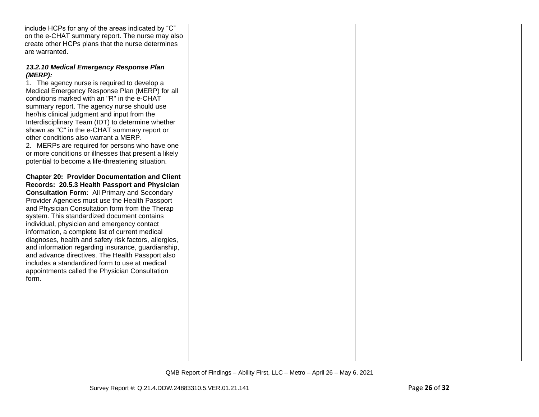| include HCPs for any of the areas indicated by "C"                                                                                                                                                                                                                                                                                                              |  |
|-----------------------------------------------------------------------------------------------------------------------------------------------------------------------------------------------------------------------------------------------------------------------------------------------------------------------------------------------------------------|--|
| on the e-CHAT summary report. The nurse may also                                                                                                                                                                                                                                                                                                                |  |
| create other HCPs plans that the nurse determines                                                                                                                                                                                                                                                                                                               |  |
| are warranted.                                                                                                                                                                                                                                                                                                                                                  |  |
|                                                                                                                                                                                                                                                                                                                                                                 |  |
| 13.2.10 Medical Emergency Response Plan<br>(MERP):<br>1. The agency nurse is required to develop a<br>Medical Emergency Response Plan (MERP) for all<br>conditions marked with an "R" in the e-CHAT<br>summary report. The agency nurse should use                                                                                                              |  |
| her/his clinical judgment and input from the<br>Interdisciplinary Team (IDT) to determine whether<br>shown as "C" in the e-CHAT summary report or<br>other conditions also warrant a MERP.                                                                                                                                                                      |  |
| 2. MERPs are required for persons who have one<br>or more conditions or illnesses that present a likely<br>potential to become a life-threatening situation.                                                                                                                                                                                                    |  |
| <b>Chapter 20: Provider Documentation and Client</b><br>Records: 20.5.3 Health Passport and Physician<br><b>Consultation Form: All Primary and Secondary</b><br>Provider Agencies must use the Health Passport<br>and Physician Consultation form from the Therap<br>system. This standardized document contains<br>individual, physician and emergency contact |  |
| information, a complete list of current medical<br>diagnoses, health and safety risk factors, allergies,<br>and information regarding insurance, guardianship,<br>and advance directives. The Health Passport also<br>includes a standardized form to use at medical<br>appointments called the Physician Consultation<br>form.                                 |  |
|                                                                                                                                                                                                                                                                                                                                                                 |  |
|                                                                                                                                                                                                                                                                                                                                                                 |  |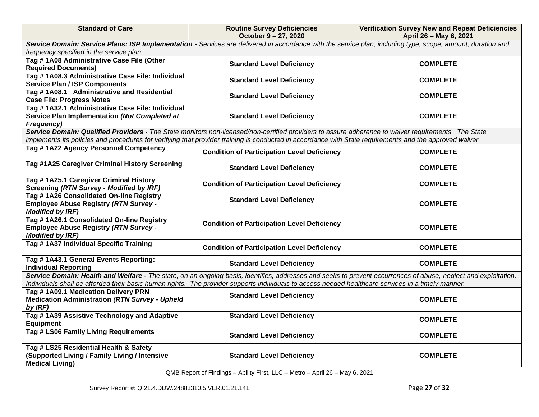| <b>Standard of Care</b>                                                                                                 | <b>Routine Survey Deficiencies</b><br>October 9 - 27, 2020                                                                                                  | <b>Verification Survey New and Repeat Deficiencies</b><br>April 26 - May 6, 2021                                                                                |
|-------------------------------------------------------------------------------------------------------------------------|-------------------------------------------------------------------------------------------------------------------------------------------------------------|-----------------------------------------------------------------------------------------------------------------------------------------------------------------|
|                                                                                                                         | Service Domain: Service Plans: ISP Implementation - Services are delivered in accordance with the service plan, including type, scope, amount, duration and |                                                                                                                                                                 |
| frequency specified in the service plan.                                                                                |                                                                                                                                                             |                                                                                                                                                                 |
| Tag #1A08 Administrative Case File (Other<br><b>Required Documents)</b>                                                 | <b>Standard Level Deficiency</b>                                                                                                                            | <b>COMPLETE</b>                                                                                                                                                 |
| Tag #1A08.3 Administrative Case File: Individual<br><b>Service Plan / ISP Components</b>                                | <b>Standard Level Deficiency</b>                                                                                                                            | <b>COMPLETE</b>                                                                                                                                                 |
| Tag #1A08.1 Administrative and Residential<br><b>Case File: Progress Notes</b>                                          | <b>Standard Level Deficiency</b>                                                                                                                            | <b>COMPLETE</b>                                                                                                                                                 |
| Tag # 1A32.1 Administrative Case File: Individual<br>Service Plan Implementation (Not Completed at<br><b>Frequency)</b> | <b>Standard Level Deficiency</b>                                                                                                                            | <b>COMPLETE</b>                                                                                                                                                 |
|                                                                                                                         | Service Domain: Qualified Providers - The State monitors non-licensed/non-certified providers to assure adherence to waiver requirements. The State         |                                                                                                                                                                 |
|                                                                                                                         | implements its policies and procedures for verifying that provider training is conducted in accordance with State requirements and the approved waiver.     |                                                                                                                                                                 |
| Tag #1A22 Agency Personnel Competency                                                                                   | <b>Condition of Participation Level Deficiency</b>                                                                                                          | <b>COMPLETE</b>                                                                                                                                                 |
| Tag #1A25 Caregiver Criminal History Screening                                                                          | <b>Standard Level Deficiency</b>                                                                                                                            | <b>COMPLETE</b>                                                                                                                                                 |
| Tag #1A25.1 Caregiver Criminal History<br><b>Screening (RTN Survey - Modified by IRF)</b>                               | <b>Condition of Participation Level Deficiency</b>                                                                                                          | <b>COMPLETE</b>                                                                                                                                                 |
| Tag #1A26 Consolidated On-line Registry<br><b>Employee Abuse Registry (RTN Survey -</b><br><b>Modified by IRF)</b>      | <b>Standard Level Deficiency</b>                                                                                                                            | <b>COMPLETE</b>                                                                                                                                                 |
| Tag #1A26.1 Consolidated On-line Registry<br><b>Employee Abuse Registry (RTN Survey -</b><br><b>Modified by IRF)</b>    | <b>Condition of Participation Level Deficiency</b>                                                                                                          | <b>COMPLETE</b>                                                                                                                                                 |
| Tag # 1A37 Individual Specific Training                                                                                 | <b>Condition of Participation Level Deficiency</b>                                                                                                          | <b>COMPLETE</b>                                                                                                                                                 |
| Tag # 1A43.1 General Events Reporting:<br><b>Individual Reporting</b>                                                   | <b>Standard Level Deficiency</b>                                                                                                                            | <b>COMPLETE</b>                                                                                                                                                 |
|                                                                                                                         | Individuals shall be afforded their basic human rights. The provider supports individuals to access needed healthcare services in a timely manner.          | Service Domain: Health and Welfare - The state, on an ongoing basis, identifies, addresses and seeks to prevent occurrences of abuse, neglect and exploitation. |
| Tag #1A09.1 Medication Delivery PRN                                                                                     |                                                                                                                                                             |                                                                                                                                                                 |
| <b>Medication Administration (RTN Survey - Upheld</b><br>by IRF)                                                        | <b>Standard Level Deficiency</b>                                                                                                                            | <b>COMPLETE</b>                                                                                                                                                 |
| Tag #1A39 Assistive Technology and Adaptive<br><b>Equipment</b>                                                         | <b>Standard Level Deficiency</b>                                                                                                                            | <b>COMPLETE</b>                                                                                                                                                 |
| Tag # LS06 Family Living Requirements                                                                                   | <b>Standard Level Deficiency</b>                                                                                                                            | <b>COMPLETE</b>                                                                                                                                                 |
| Tag # LS25 Residential Health & Safety<br>(Supported Living / Family Living / Intensive<br><b>Medical Living)</b>       | <b>Standard Level Deficiency</b>                                                                                                                            | <b>COMPLETE</b>                                                                                                                                                 |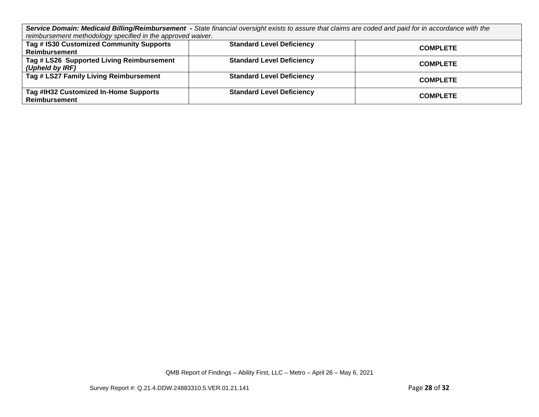*Service Domain: Medicaid Billing/Reimbursement - State financial oversight exists to assure that claims are coded and paid for in accordance with the reimbursement methodology specified in the approved waiver.*

| romnoaroomont mothodology opoomoa mithologyprovoal narvon.       |                                  |                 |
|------------------------------------------------------------------|----------------------------------|-----------------|
| Tag # IS30 Customized Community Supports<br><b>Reimbursement</b> | <b>Standard Level Deficiency</b> | <b>COMPLETE</b> |
| Tag # LS26 Supported Living Reimbursement<br>(Upheld by IRF)     | <b>Standard Level Deficiency</b> | <b>COMPLETE</b> |
| Tag # LS27 Family Living Reimbursement                           | <b>Standard Level Deficiency</b> | <b>COMPLETE</b> |
| Tag #IH32 Customized In-Home Supports<br><b>Reimbursement</b>    | <b>Standard Level Deficiency</b> | <b>COMPLETE</b> |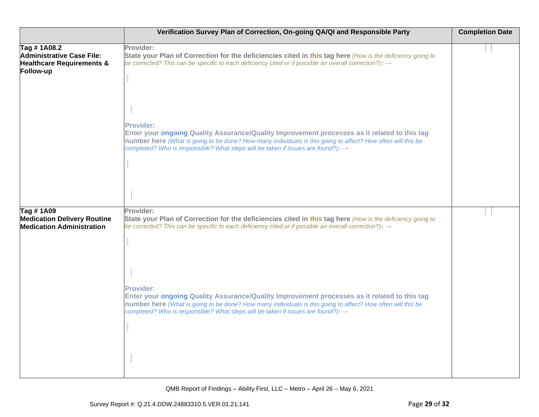|                                                                                               | Verification Survey Plan of Correction, On-going QA/QI and Responsible Party                                                                                                                                                                                                                                                                                                                                                                                                                                                                                                   | <b>Completion Date</b> |
|-----------------------------------------------------------------------------------------------|--------------------------------------------------------------------------------------------------------------------------------------------------------------------------------------------------------------------------------------------------------------------------------------------------------------------------------------------------------------------------------------------------------------------------------------------------------------------------------------------------------------------------------------------------------------------------------|------------------------|
| Tag #1A08.2<br>Administrative Case File:<br><b>Healthcare Requirements &amp;</b><br>Follow-up | Provider:<br>State your Plan of Correction for the deficiencies cited in this tag here (How is the deficiency going to<br>be corrected? This can be specific to each deficiency cited or if possible an overall correction?): $\rightarrow$<br><b>Provider:</b><br>Enter your ongoing Quality Assurance/Quality Improvement processes as it related to this tag<br>number here (What is going to be done? How many individuals is this going to affect? How often will this be<br>completed? Who is responsible? What steps will be taken if issues are found?): $\rightarrow$ |                        |
| Tag #1A09<br><b>Medication Delivery Routine</b><br><b>Medication Administration</b>           | Provider:<br>State your Plan of Correction for the deficiencies cited in this tag here (How is the deficiency going to<br>be corrected? This can be specific to each deficiency cited or if possible an overall correction?): $\rightarrow$<br><b>Provider:</b><br>Enter your ongoing Quality Assurance/Quality Improvement processes as it related to this tag<br>number here (What is going to be done? How many individuals is this going to affect? How often will this be<br>completed? Who is responsible? What steps will be taken if issues are found?): $\rightarrow$ |                        |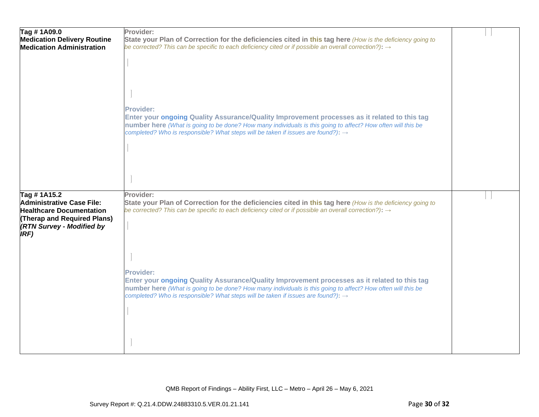| Tag #1A09.0<br><b>Medication Delivery Routine</b><br><b>Medication Administration</b>                                                                  | Provider:<br>State your Plan of Correction for the deficiencies cited in this tag here (How is the deficiency going to<br>be corrected? This can be specific to each deficiency cited or if possible an overall correction?): $\rightarrow$                                                                                     |  |
|--------------------------------------------------------------------------------------------------------------------------------------------------------|---------------------------------------------------------------------------------------------------------------------------------------------------------------------------------------------------------------------------------------------------------------------------------------------------------------------------------|--|
|                                                                                                                                                        |                                                                                                                                                                                                                                                                                                                                 |  |
|                                                                                                                                                        |                                                                                                                                                                                                                                                                                                                                 |  |
|                                                                                                                                                        | Provider:<br>Enter your ongoing Quality Assurance/Quality Improvement processes as it related to this tag<br>number here (What is going to be done? How many individuals is this going to affect? How often will this be<br>completed? Who is responsible? What steps will be taken if issues are found?): $\rightarrow$        |  |
|                                                                                                                                                        |                                                                                                                                                                                                                                                                                                                                 |  |
|                                                                                                                                                        |                                                                                                                                                                                                                                                                                                                                 |  |
| Tag #1A15.2<br>Administrative Case File:<br><b>Healthcare Documentation</b><br>(Therap and Required Plans)<br><b>(RTN Survey - Modified by</b><br>IRF) | Provider:<br>State your Plan of Correction for the deficiencies cited in this tag here (How is the deficiency going to<br>be corrected? This can be specific to each deficiency cited or if possible an overall correction?): $\rightarrow$                                                                                     |  |
|                                                                                                                                                        | <b>Provider:</b><br>Enter your ongoing Quality Assurance/Quality Improvement processes as it related to this tag<br>number here (What is going to be done? How many individuals is this going to affect? How often will this be<br>completed? Who is responsible? What steps will be taken if issues are found?): $\rightarrow$ |  |
|                                                                                                                                                        |                                                                                                                                                                                                                                                                                                                                 |  |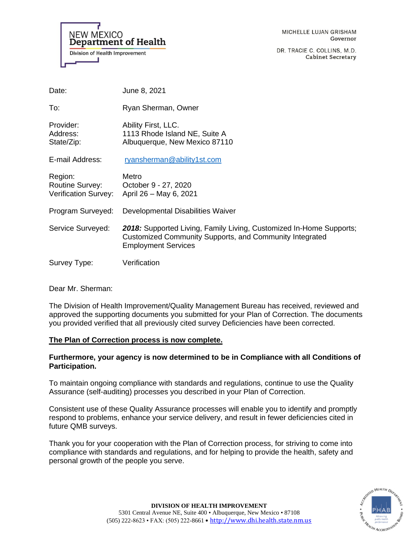**NEW MEXICO Department of Health Division of Health Improvement** 

MICHELLE LUJAN GRISHAM Governor

DR. TRACIE C. COLLINS, M.D. **Cabinet Secretary** 

| Date:                                              | June 8, 2021                                                                                                                                                 |
|----------------------------------------------------|--------------------------------------------------------------------------------------------------------------------------------------------------------------|
| To:                                                | Ryan Sherman, Owner                                                                                                                                          |
| Provider:<br>Address:<br>State/Zip:                | Ability First, LLC.<br>1113 Rhode Island NE, Suite A<br>Albuquerque, New Mexico 87110                                                                        |
| E-mail Address:                                    | ryansherman@ability1st.com                                                                                                                                   |
| Region:<br>Routine Survey:<br>Verification Survey: | Metro<br>October 9 - 27, 2020<br>April 26 - May 6, 2021                                                                                                      |
| Program Surveyed:                                  | Developmental Disabilities Waiver                                                                                                                            |
| Service Surveyed:                                  | 2018: Supported Living, Family Living, Customized In-Home Supports;<br>Customized Community Supports, and Community Integrated<br><b>Employment Services</b> |
| Survey Type:                                       | Verification                                                                                                                                                 |

Dear Mr. Sherman:

The Division of Health Improvement/Quality Management Bureau has received, reviewed and approved the supporting documents you submitted for your Plan of Correction. The documents you provided verified that all previously cited survey Deficiencies have been corrected.

# **The Plan of Correction process is now complete.**

# **Furthermore, your agency is now determined to be in Compliance with all Conditions of Participation.**

To maintain ongoing compliance with standards and regulations, continue to use the Quality Assurance (self-auditing) processes you described in your Plan of Correction.

Consistent use of these Quality Assurance processes will enable you to identify and promptly respond to problems, enhance your service delivery, and result in fewer deficiencies cited in future QMB surveys.

Thank you for your cooperation with the Plan of Correction process, for striving to come into compliance with standards and regulations, and for helping to provide the health, safety and personal growth of the people you serve.